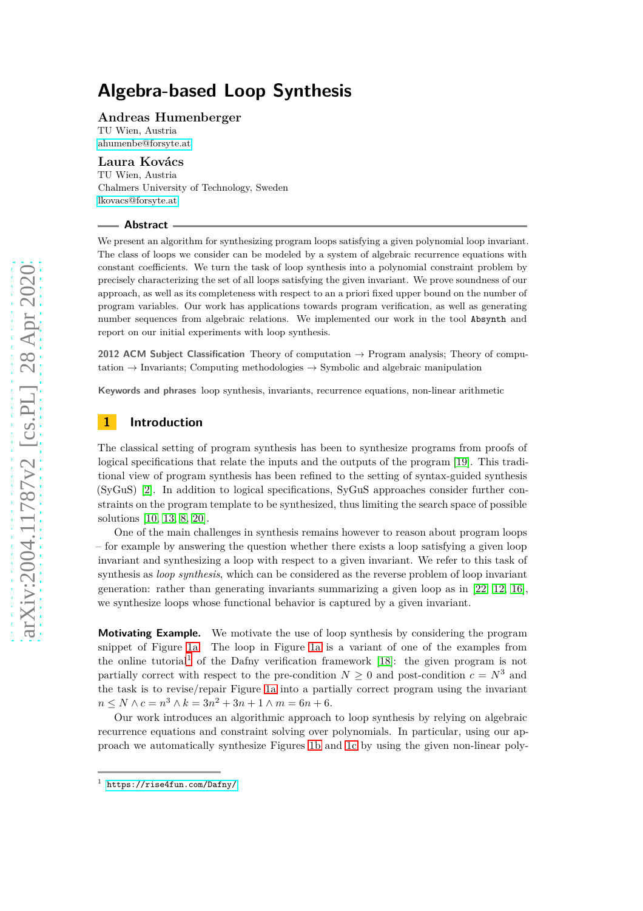### **Andreas Humenberger**

TU Wien, Austria [ahumenbe@forsyte.at](mailto:ahumenbe@forsyte.at)

### **Laura Kovács**

TU Wien, Austria Chalmers University of Technology, Sweden [lkovacs@forsyte.at](mailto:lkovacs@forsyte.at)

#### **Abstract**

We present an algorithm for synthesizing program loops satisfying a given polynomial loop invariant. The class of loops we consider can be modeled by a system of algebraic recurrence equations with constant coefficients. We turn the task of loop synthesis into a polynomial constraint problem by precisely characterizing the set of all loops satisfying the given invariant. We prove soundness of our approach, as well as its completeness with respect to an a priori fixed upper bound on the number of program variables. Our work has applications towards program verification, as well as generating number sequences from algebraic relations. We implemented our work in the tool Absynth and report on our initial experiments with loop synthesis.

**2012 ACM Subject Classification** Theory of computation → Program analysis; Theory of computation  $\rightarrow$  Invariants; Computing methodologies  $\rightarrow$  Symbolic and algebraic manipulation

**Keywords and phrases** loop synthesis, invariants, recurrence equations, non-linear arithmetic

# **1 Introduction**

The classical setting of program synthesis has been to synthesize programs from proofs of logical specifications that relate the inputs and the outputs of the program [\[19\]](#page-17-0). This traditional view of program synthesis has been refined to the setting of syntax-guided synthesis (SyGuS) [\[2\]](#page-16-0). In addition to logical specifications, SyGuS approaches consider further constraints on the program template to be synthesized, thus limiting the search space of possible solutions [\[10,](#page-17-1) [13,](#page-17-2) [8,](#page-16-1) [20\]](#page-17-3).

One of the main challenges in synthesis remains however to reason about program loops – for example by answering the question whether there exists a loop satisfying a given loop invariant and synthesizing a loop with respect to a given invariant. We refer to this task of synthesis as *loop synthesis*, which can be considered as the reverse problem of loop invariant generation: rather than generating invariants summarizing a given loop as in [\[22,](#page-17-4) [12,](#page-17-5) [16\]](#page-17-6), we synthesize loops whose functional behavior is captured by a given invariant.

**Motivating Example.** We motivate the use of loop synthesis by considering the program snippet of Figure [1a.](#page-1-0) The loop in Figure [1a](#page-1-0) is a variant of one of the examples from the online tutorial<sup>[1](#page-0-0)</sup> of the Dafny verification framework [\[18\]](#page-17-7): the given program is not partially correct with respect to the pre-condition  $N \geq 0$  and post-condition  $c = N^3$  and the task is to revise/repair Figure [1a](#page-1-0) into a partially correct program using the invariant  $n \leq N \wedge c = n^3 \wedge k = 3n^2 + 3n + 1 \wedge m = 6n + 6.$ 

Our work introduces an algorithmic approach to loop synthesis by relying on algebraic recurrence equations and constraint solving over polynomials. In particular, using our approach we automatically synthesize Figures [1b](#page-1-0) and [1c](#page-1-0) by using the given non-linear poly-

<span id="page-0-0"></span><sup>1</sup> <https://rise4fun.com/Dafny/>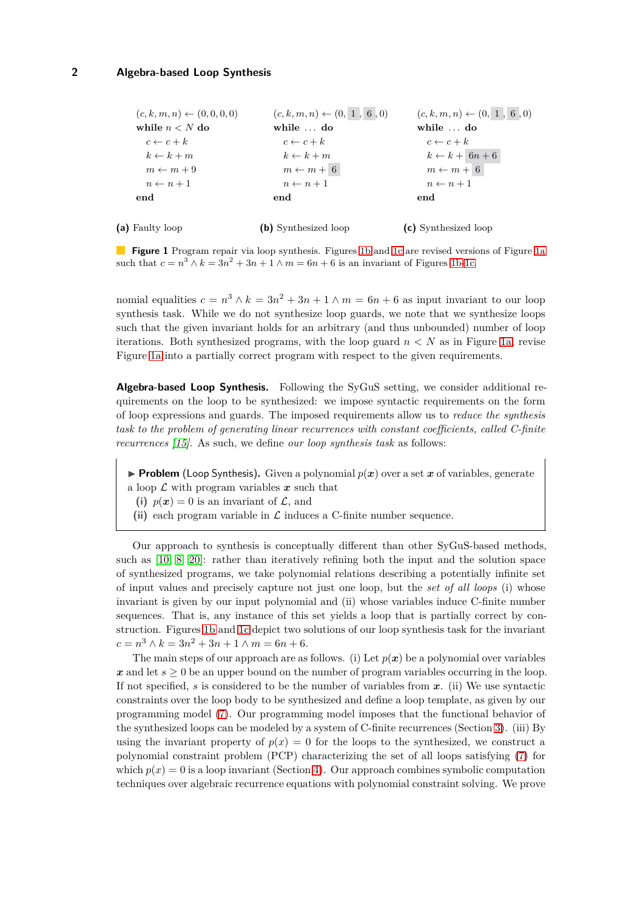<span id="page-1-0"></span>

| $(c, k, m, n) \leftarrow (0, 0, 0, 0)$ | $(c, k, m, n) \leftarrow (0, 1, 6, 0)$ | $(c, k, m, n) \leftarrow (0, 1, 6, 0)$ |
|----------------------------------------|----------------------------------------|----------------------------------------|
| while $n < N$ do                       | while $\ldots$ do                      | while $\ldots$ do                      |
| $c \leftarrow c + k$                   | $c \leftarrow c + k$                   | $c \leftarrow c + k$                   |
| $k \leftarrow k + m$                   | $k \leftarrow k + m$                   | $k \leftarrow k + 6n + 6$              |
| $m \leftarrow m + 9$                   | $m \leftarrow m + 6$                   | $m \leftarrow m + 6$                   |
| $n \leftarrow n+1$                     | $n \leftarrow n+1$                     | $n \leftarrow n+1$                     |
| end                                    | end                                    | end                                    |
| (a) Faulty loop                        | (b) Synthesized loop                   | (c) Synthesized loop                   |

**Figure 1** Program repair via loop synthesis. Figures [1b](#page-1-0) and [1c](#page-1-0) are revised versions of Figure [1a](#page-1-0) such that  $c = n^3 \wedge k = 3n^2 + 3n + 1 \wedge m = 6n + 6$  is an invariant of Figures [1b-1c.](#page-1-0)

nomial equalities  $c = n^3 \wedge k = 3n^2 + 3n + 1 \wedge m = 6n + 6$  as input invariant to our loop synthesis task. While we do not synthesize loop guards, we note that we synthesize loops such that the given invariant holds for an arbitrary (and thus unbounded) number of loop iterations. Both synthesized programs, with the loop guard  $n < N$  as in Figure [1a,](#page-1-0) revise Figure [1a](#page-1-0) into a partially correct program with respect to the given requirements.

**Algebra-based Loop Synthesis.** Following the SyGuS setting, we consider additional requirements on the loop to be synthesized: we impose syntactic requirements on the form of loop expressions and guards. The imposed requirements allow us to *reduce the synthesis task to the problem of generating linear recurrences with constant coefficients, called C-finite recurrences [\[15\]](#page-17-8)*. As such, we define *our loop synthesis task* as follows:

- **Problem** (Loop Synthesis). Given a polynomial  $p(x)$  over a set x of variables, generate
- a loop  $\mathcal L$  with program variables  $\mathbf x$  such that
	- (i)  $p(x) = 0$  is an invariant of  $\mathcal{L}$ , and
- (ii) each program variable in  $\mathcal L$  induces a C-finite number sequence.

Our approach to synthesis is conceptually different than other SyGuS-based methods, such as [\[10,](#page-17-1) [8,](#page-16-1) [20\]](#page-17-3): rather than iteratively refining both the input and the solution space of synthesized programs, we take polynomial relations describing a potentially infinite set of input values and precisely capture not just one loop, but the *set of all loops* (i) whose invariant is given by our input polynomial and (ii) whose variables induce C-finite number sequences. That is, any instance of this set yields a loop that is partially correct by construction. Figures [1b](#page-1-0) and [1c](#page-1-0) depict two solutions of our loop synthesis task for the invariant  $c = n^3 \wedge k = 3n^2 + 3n + 1 \wedge m = 6n + 6.$ 

The main steps of our approach are as follows. (i) Let  $p(x)$  be a polynomial over variables  $x$  and let  $s \geq 0$  be an upper bound on the number of program variables occurring in the loop. If not specified, *s* is considered to be the number of variables from *x*. (ii) We use syntactic constraints over the loop body to be synthesized and define a loop template, as given by our programming model [\(7\)](#page-5-0). Our programming model imposes that the functional behavior of the synthesized loops can be modeled by a system of C-finite recurrences (Section [3\)](#page-5-1). (iii) By using the invariant property of  $p(x) = 0$  for the loops to the synthesized, we construct a polynomial constraint problem (PCP) characterizing the set of all loops satisfying [\(7\)](#page-5-0) for which  $p(x) = 0$  is a loop invariant (Section [4\)](#page-6-0). Our approach combines symbolic computation techniques over algebraic recurrence equations with polynomial constraint solving. We prove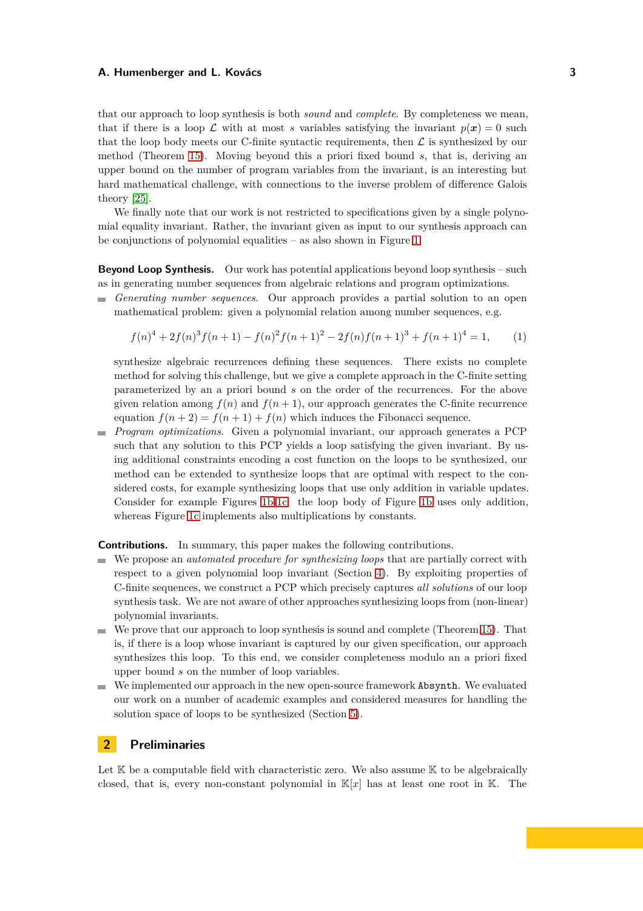that our approach to loop synthesis is both *sound* and *complete*. By completeness we mean, that if there is a loop  $\mathcal L$  with at most *s* variables satisfying the invariant  $p(x) = 0$  such that the loop body meets our C-finite syntactic requirements, then  $\mathcal L$  is synthesized by our method (Theorem [15\)](#page-10-0). Moving beyond this a priori fixed bound *s*, that is, deriving an upper bound on the number of program variables from the invariant, is an interesting but hard mathematical challenge, with connections to the inverse problem of difference Galois theory [\[25\]](#page-17-9).

We finally note that our work is not restricted to specifications given by a single polynomial equality invariant. Rather, the invariant given as input to our synthesis approach can be conjunctions of polynomial equalities – as also shown in Figure [1.](#page-1-0)

**Beyond Loop Synthesis.** Our work has potential applications beyond loop synthesis – such as in generating number sequences from algebraic relations and program optimizations.

*Generating number sequences.* Our approach provides a partial solution to an open mathematical problem: given a polynomial relation among number sequences, e.g.

<span id="page-2-0"></span>
$$
f(n)^{4} + 2f(n)^{3}f(n+1) - f(n)^{2}f(n+1)^{2} - 2f(n)f(n+1)^{3} + f(n+1)^{4} = 1,
$$
 (1)

synthesize algebraic recurrences defining these sequences. There exists no complete method for solving this challenge, but we give a complete approach in the C-finite setting parameterized by an a priori bound *s* on the order of the recurrences. For the above given relation among  $f(n)$  and  $f(n+1)$ , our approach generates the C-finite recurrence equation  $f(n+2) = f(n+1) + f(n)$  which induces the Fibonacci sequence.

*Program optimizations.* Given a polynomial invariant, our approach generates a PCP such that any solution to this PCP yields a loop satisfying the given invariant. By using additional constraints encoding a cost function on the loops to be synthesized, our method can be extended to synthesize loops that are optimal with respect to the considered costs, for example synthesizing loops that use only addition in variable updates. Consider for example Figures [1b-1c:](#page-1-0) the loop body of Figure [1b](#page-1-0) uses only addition, whereas Figure [1c](#page-1-0) implements also multiplications by constants.

**Contributions.** In summary, this paper makes the following contributions.

- We propose an *automated procedure for synthesizing loops* that are partially correct with respect to a given polynomial loop invariant (Section [4\)](#page-6-0). By exploiting properties of C-finite sequences, we construct a PCP which precisely captures *all solutions* of our loop synthesis task. We are not aware of other approaches synthesizing loops from (non-linear) polynomial invariants.
- We prove that our approach to loop synthesis is sound and complete (Theorem [15\)](#page-10-0). That is, if there is a loop whose invariant is captured by our given specification, our approach synthesizes this loop. To this end, we consider completeness modulo an a priori fixed upper bound *s* on the number of loop variables.
- We implemented our approach in the new open-source framework Absynth. We evaluated our work on a number of academic examples and considered measures for handling the solution space of loops to be synthesized (Section [5\)](#page-15-0).

# **2 Preliminaries**

Let  $K$  be a computable field with characteristic zero. We also assume  $K$  to be algebraically closed, that is, every non-constant polynomial in K[*x*] has at least one root in K. The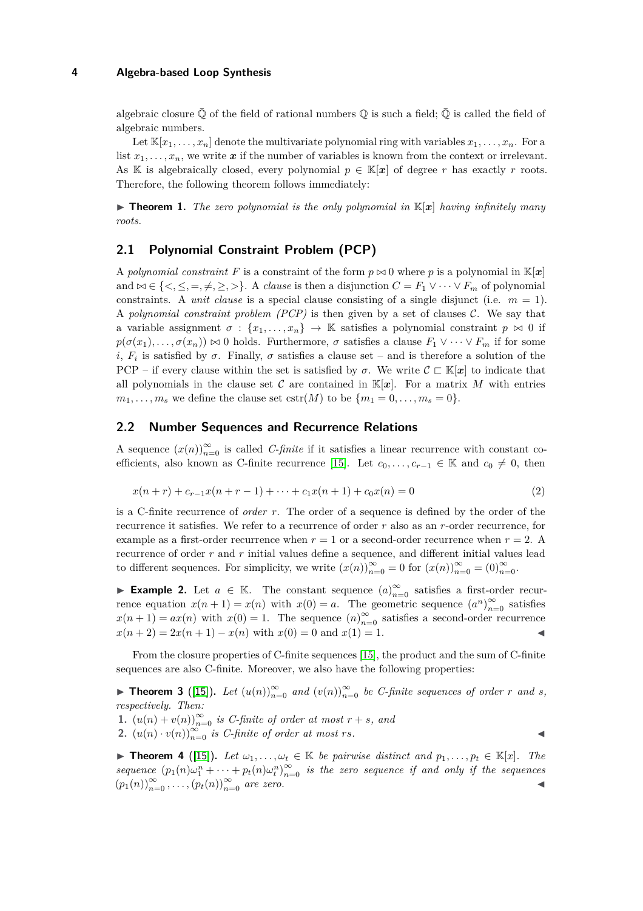algebraic closure  $\overline{Q}$  of the field of rational numbers  $\overline{Q}$  is such a field;  $\overline{Q}$  is called the field of algebraic numbers.

Let  $\mathbb{K}[x_1,\ldots,x_n]$  denote the multivariate polynomial ring with variables  $x_1,\ldots,x_n$ . For a list  $x_1, \ldots, x_n$ , we write  $x$  if the number of variables is known from the context or irrelevant. As K is algebraically closed, every polynomial  $p \in K[\mathbf{x}]$  of degree *r* has exactly *r* roots. Therefore, the following theorem follows immediately:

<span id="page-3-4"></span> $\triangleright$  **Theorem 1.** *The zero polynomial is the only polynomial in*  $\mathbb{K}[x]$  *having infinitely many roots.*

# **2.1 Polynomial Constraint Problem (PCP)**

A *polynomial constraint F* is a constraint of the form  $p \approx 0$  where p is a polynomial in K[x] and  $∞ ∈ {<, ≤, =, ≠, ≥, >}$ . A *clause* is then a disjunction  $C = F_1 ∨ ⋯ ∨ F_m$  of polynomial constraints. A *unit clause* is a special clause consisting of a single disjunct (i.e.  $m = 1$ ). A *polynomial constraint problem (PCP)* is then given by a set of clauses  $\mathcal{C}$ . We say that a variable assignment  $\sigma : \{x_1, \ldots, x_n\} \to \mathbb{K}$  satisfies a polynomial constraint  $p \bowtie 0$  if  $p(\sigma(x_1), \ldots, \sigma(x_n)) \bowtie 0$  holds. Furthermore,  $\sigma$  satisfies a clause  $F_1 \vee \cdots \vee F_m$  if for some *i*,  $F_i$  is satisfied by  $\sigma$ . Finally,  $\sigma$  satisfies a clause set – and is therefore a solution of the PCP – if every clause within the set is satisfied by  $\sigma$ . We write  $\mathcal{C} \subset \mathbb{K}[x]$  to indicate that all polynomials in the clause set C are contained in  $\mathbb{K}[x]$ . For a matrix M with entries  $m_1, \ldots, m_s$  we define the clause set  $cstr(M)$  to be  $\{m_1 = 0, \ldots, m_s = 0\}$ .

# <span id="page-3-0"></span>**2.2 Number Sequences and Recurrence Relations**

A sequence  $(x(n))_{n=0}^{\infty}$  is called *C-finite* if it satisfies a linear recurrence with constant co-efficients, also known as C-finite recurrence [\[15\]](#page-17-8). Let  $c_0, \ldots, c_{r-1} \in \mathbb{K}$  and  $c_0 \neq 0$ , then

$$
x(n+r) + c_{r-1}x(n+r-1) + \dots + c_1x(n+1) + c_0x(n) = 0
$$
\n(2)

is a C-finite recurrence of *order r*. The order of a sequence is defined by the order of the recurrence it satisfies. We refer to a recurrence of order *r* also as an *r*-order recurrence, for example as a first-order recurrence when  $r = 1$  or a second-order recurrence when  $r = 2$ . recurrence of order *r* and *r* initial values define a sequence, and different initial values lead to different sequences. For simplicity, we write  $(x(n))_{n=0}^{\infty} = 0$  for  $(x(n))_{n=0}^{\infty} = (0)_{n=0}^{\infty}$ .

► **Example 2.** Let  $a \in \mathbb{K}$ . The constant sequence  $(a)_{n=0}^{\infty}$  satisfies a first-order recurrence equation  $x(n+1) = x(n)$  with  $x(0) = a$ . The geometric sequence  $(a^n)_{n=0}^{\infty}$  satisfies  $x(n+1) = ax(n)$  with  $x(0) = 1$ . The sequence  $(n)_{n=0}^{\infty}$  satisfies a second-order recurrence  $x(n+2) = 2x(n+1) - x(n)$  with  $x(0) = 0$  and  $x(1) = 1$ .

<span id="page-3-3"></span>From the closure properties of C-finite sequences [\[15\]](#page-17-8), the product and the sum of C-finite sequences are also C-finite. Moreover, we also have the following properties:

▶ **Theorem 3** ([\[15\]](#page-17-8)). Let  $(u(n))_{n=0}^{\infty}$  and  $(v(n))_{n=0}^{\infty}$  be C-finite sequences of order *r* and *s*, *respectively. Then:*

**1.**  $(u(n) + v(n))_{n=0}^{\infty}$  *is C-finite of order at most*  $r + s$ *, and* 

<span id="page-3-2"></span>**2.**  $(u(n) \cdot v(n))_{n=0}^{\infty}$  *is C-finite of order at most rs.* 

<span id="page-3-1"></span>**► Theorem 4** ([\[15\]](#page-17-8)). Let  $\omega_1, \ldots, \omega_t \in \mathbb{K}$  be pairwise distinct and  $p_1, \ldots, p_t \in \mathbb{K}[x]$ . The *sequence*  $(p_1(n)\omega_1^n + \cdots + p_t(n)\omega_t^n)_{n=0}^{\infty}$  *is the zero sequence if and only if the sequences*  $(p_1(n))_{n=0}^{\infty}, \ldots, (p_t(n))_{n=0}^{\infty}$  *are zero.*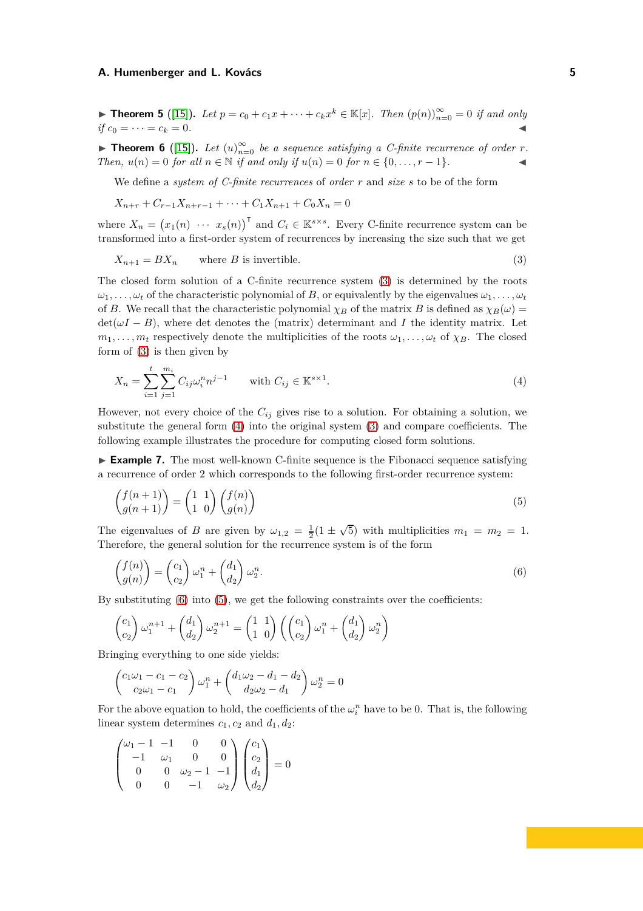▶ **Theorem 5** ([\[15\]](#page-17-8)). Let  $p = c_0 + c_1x + \cdots + c_kx^k \in \mathbb{K}[x]$ . Then  $(p(n))_{n=0}^{\infty} = 0$  if and only  $if c_0 = \cdots = c_k = 0.$ 

<span id="page-4-5"></span>**Find 15** Theorem 6 ([\[15\]](#page-17-8)). Let  $(u)_{n=0}^{\infty}$  be a sequence satisfying a C-finite recurrence of order *r*. *Then,*  $u(n) = 0$  *for all*  $n \in \mathbb{N}$  *if and only if*  $u(n) = 0$  *for*  $n \in \{0, ..., r - 1\}$ *.* 

We define a *system of C-finite recurrences* of *order r* and *size s* to be of the form

<span id="page-4-0"></span>
$$
X_{n+r} + C_{r-1}X_{n+r-1} + \dots + C_1X_{n+1} + C_0X_n = 0
$$

where  $X_n = (x_1(n) \cdots x_s(n))^{\mathsf{T}}$  and  $C_i \in \mathbb{K}^{s \times s}$ . Every C-finite recurrence system can be transformed into a first-order system of recurrences by increasing the size such that we get

$$
X_{n+1} = BX_n \qquad \text{where } B \text{ is invertible.} \tag{3}
$$

The closed form solution of a C-finite recurrence system [\(3\)](#page-4-0) is determined by the roots  $\omega_1, \ldots, \omega_t$  of the characteristic polynomial of *B*, or equivalently by the eigenvalues  $\omega_1, \ldots, \omega_t$ of *B*. We recall that the characteristic polynomial  $\chi_B$  of the matrix *B* is defined as  $\chi_B(\omega)$  =  $\det(\omega I - B)$ , where det denotes the (matrix) determinant and *I* the identity matrix. Let  $m_1, \ldots, m_t$  respectively denote the multiplicities of the roots  $\omega_1, \ldots, \omega_t$  of  $\chi_B$ . The closed form of [\(3\)](#page-4-0) is then given by

<span id="page-4-1"></span>
$$
X_n = \sum_{i=1}^{t} \sum_{j=1}^{m_i} C_{ij} \omega_i^n n^{j-1} \quad \text{with } C_{ij} \in \mathbb{K}^{s \times 1}.
$$
 (4)

However, not every choice of the *Cij* gives rise to a solution. For obtaining a solution, we substitute the general form [\(4\)](#page-4-1) into the original system [\(3\)](#page-4-0) and compare coefficients. The following example illustrates the procedure for computing closed form solutions.

<span id="page-4-4"></span>► **Example 7.** The most well-known C-finite sequence is the Fibonacci sequence satisfying a recurrence of order 2 which corresponds to the following first-order recurrence system:

<span id="page-4-3"></span>
$$
\begin{pmatrix} f(n+1) \\ g(n+1) \end{pmatrix} = \begin{pmatrix} 1 & 1 \\ 1 & 0 \end{pmatrix} \begin{pmatrix} f(n) \\ g(n) \end{pmatrix} \tag{5}
$$

The eigenvalues of *B* are given by  $\omega_{1,2} = \frac{1}{2}(1 \pm \sqrt{5})$  with multiplicities  $m_1 = m_2 = 1$ . Therefore, the general solution for the recurrence system is of the form

<span id="page-4-2"></span>
$$
\begin{pmatrix} f(n) \\ g(n) \end{pmatrix} = \begin{pmatrix} c_1 \\ c_2 \end{pmatrix} \omega_1^n + \begin{pmatrix} d_1 \\ d_2 \end{pmatrix} \omega_2^n.
$$
\n(6)

By substituting  $(6)$  into  $(5)$ , we get the following constraints over the coefficients:

$$
\begin{pmatrix} c_1 \\ c_2 \end{pmatrix} \omega_1^{n+1} + \begin{pmatrix} d_1 \\ d_2 \end{pmatrix} \omega_2^{n+1} = \begin{pmatrix} 1 & 1 \\ 1 & 0 \end{pmatrix} \left( \begin{pmatrix} c_1 \\ c_2 \end{pmatrix} \omega_1^n + \begin{pmatrix} d_1 \\ d_2 \end{pmatrix} \omega_2^n \right)
$$

Bringing everything to one side yields:

$$
\begin{pmatrix} c_1\omega_1 - c_1 - c_2 \ c_2\omega_1 - c_1 \end{pmatrix} \omega_1^n + \begin{pmatrix} d_1\omega_2 - d_1 - d_2 \ d_2\omega_2 - d_1 \end{pmatrix} \omega_2^n = 0
$$

For the above equation to hold, the coefficients of the  $\omega_i^n$  have to be 0. That is, the following linear system determines  $c_1, c_2$  and  $d_1, d_2$ :

$$
\begin{pmatrix} \omega_1 - 1 & -1 & 0 & 0 \\ -1 & \omega_1 & 0 & 0 \\ 0 & 0 & \omega_2 - 1 & -1 \\ 0 & 0 & -1 & \omega_2 \end{pmatrix} \begin{pmatrix} c_1 \\ c_2 \\ d_1 \\ d_2 \end{pmatrix} = 0
$$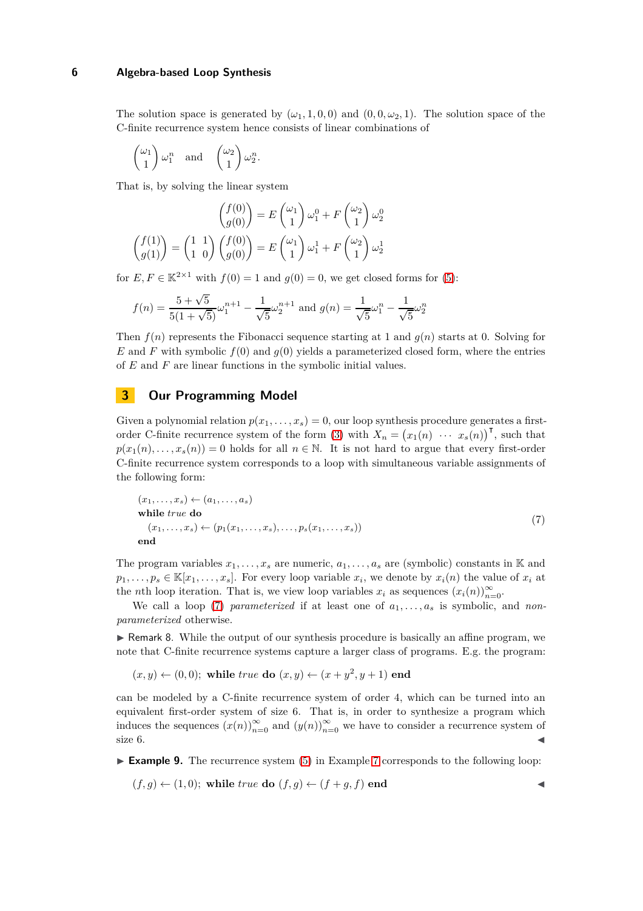The solution space is generated by  $(\omega_1, 1, 0, 0)$  and  $(0, 0, \omega_2, 1)$ . The solution space of the C-finite recurrence system hence consists of linear combinations of

$$
\begin{pmatrix} \omega_1 \\ 1 \end{pmatrix} \omega_1^n
$$
 and  $\begin{pmatrix} \omega_2 \\ 1 \end{pmatrix} \omega_2^n$ .

That is, by solving the linear system

$$
\begin{pmatrix} f(0) \\ g(0) \end{pmatrix} = E \begin{pmatrix} \omega_1 \\ 1 \end{pmatrix} \omega_1^0 + F \begin{pmatrix} \omega_2 \\ 1 \end{pmatrix} \omega_2^0
$$

$$
\begin{pmatrix} f(1) \\ g(1) \end{pmatrix} = \begin{pmatrix} 1 & 1 \\ 1 & 0 \end{pmatrix} \begin{pmatrix} f(0) \\ g(0) \end{pmatrix} = E \begin{pmatrix} \omega_1 \\ 1 \end{pmatrix} \omega_1^1 + F \begin{pmatrix} \omega_2 \\ 1 \end{pmatrix} \omega_2^1
$$

for  $E, F \in \mathbb{K}^{2 \times 1}$  with  $f(0) = 1$  and  $g(0) = 0$ , we get closed forms for [\(5\)](#page-4-3):

$$
f(n) = \frac{5 + \sqrt{5}}{5(1 + \sqrt{5})} \omega_1^{n+1} - \frac{1}{\sqrt{5}} \omega_2^{n+1}
$$
 and  $g(n) = \frac{1}{\sqrt{5}} \omega_1^n - \frac{1}{\sqrt{5}} \omega_2^n$ 

Then  $f(n)$  represents the Fibonacci sequence starting at 1 and  $g(n)$  starts at 0. Solving for  $E$  and  $F$  with symbolic  $f(0)$  and  $g(0)$  yields a parameterized closed form, where the entries of *E* and *F* are linear functions in the symbolic initial values.

# <span id="page-5-1"></span>**3 Our Programming Model**

Given a polynomial relation  $p(x_1, \ldots, x_s) = 0$ , our loop synthesis procedure generates a first-order C-finite recurrence system of the form [\(3\)](#page-4-0) with  $X_n = (x_1(n) \cdots x_s(n))$ <sup>T</sup>, such that  $p(x_1(n), \ldots, x_s(n)) = 0$  holds for all  $n \in \mathbb{N}$ . It is not hard to argue that every first-order C-finite recurrence system corresponds to a loop with simultaneous variable assignments of the following form:

<span id="page-5-0"></span>
$$
(x_1, \ldots, x_s) \leftarrow (a_1, \ldots, a_s)
$$
  
while *true* do  

$$
(x_1, \ldots, x_s) \leftarrow (p_1(x_1, \ldots, x_s), \ldots, p_s(x_1, \ldots, x_s))
$$
  
end (7)  
end

The program variables  $x_1, \ldots, x_s$  are numeric,  $a_1, \ldots, a_s$  are (symbolic) constants in K and  $p_1, \ldots, p_s \in \mathbb{K}[x_1, \ldots, x_s]$ . For every loop variable  $x_i$ , we denote by  $x_i(n)$  the value of  $x_i$  at the *n*th loop iteration. That is, we view loop variables  $x_i$  as sequences  $(x_i(n))_{n=0}^{\infty}$ .

We call a loop [\(7\)](#page-5-0) *parameterized* if at least one of  $a_1, \ldots, a_s$  is symbolic, and *nonparameterized* otherwise.

 $\triangleright$  Remark 8. While the output of our synthesis procedure is basically an affine program, we note that C-finite recurrence systems capture a larger class of programs. E.g. the program:

$$
(x,y) \leftarrow (0,0); \text{ while } true \textbf{ do } (x,y) \leftarrow (x+y^2,y+1) \textbf{ end }
$$

can be modeled by a C-finite recurrence system of order 4, which can be turned into an equivalent first-order system of size 6. That is, in order to synthesize a program which induces the sequences  $(x(n))_{n=0}^{\infty}$  and  $(y(n))_{n=0}^{\infty}$  we have to consider a recurrence system of size  $6.$ 

► **Example 9.** The recurrence system [\(5\)](#page-4-3) in Example [7](#page-4-4) corresponds to the following loop:

$$
(f,g) \leftarrow (1,0);
$$
 while *true* do  $(f,g) \leftarrow (f+g,f)$  end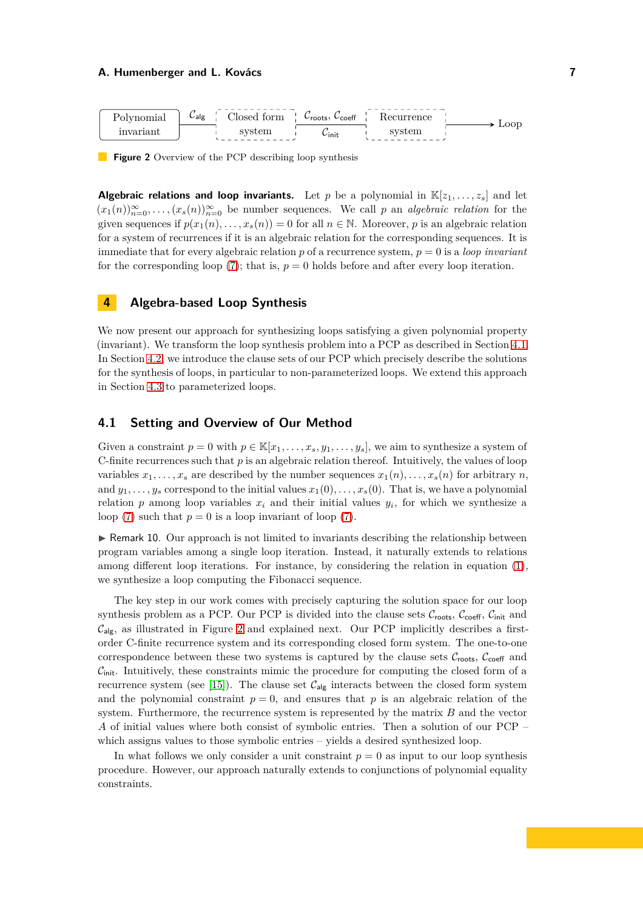<span id="page-6-2"></span>

**Figure 2** Overview of the PCP describing loop synthesis

**Algebraic relations and loop invariants.** Let p be a polynomial in  $\mathbb{K}[z_1, \ldots, z_s]$  and let  $(x_1(n))_{n=0}^{\infty}, \ldots, (x_s(n))_{n=0}^{\infty}$  be number sequences. We call *p* an *algebraic relation* for the given sequences if  $p(x_1(n), \ldots, x_s(n)) = 0$  for all  $n \in \mathbb{N}$ . Moreover, *p* is an algebraic relation for a system of recurrences if it is an algebraic relation for the corresponding sequences. It is immediate that for every algebraic relation  $p$  of a recurrence system,  $p = 0$  is a *loop invariant* for the corresponding loop  $(7)$ ; that is,  $p = 0$  holds before and after every loop iteration.

# <span id="page-6-0"></span>**4 Algebra-based Loop Synthesis**

We now present our approach for synthesizing loops satisfying a given polynomial property (invariant). We transform the loop synthesis problem into a PCP as described in Section [4.1.](#page-6-1) In Section [4.2,](#page-7-0) we introduce the clause sets of our PCP which precisely describe the solutions for the synthesis of loops, in particular to non-parameterized loops. We extend this approach in Section [4.3](#page-11-0) to parameterized loops.

# <span id="page-6-1"></span>**4.1 Setting and Overview of Our Method**

Given a constraint  $p = 0$  with  $p \in \mathbb{K}[x_1, \ldots, x_s, y_1, \ldots, y_s]$ , we aim to synthesize a system of C-finite recurrences such that *p* is an algebraic relation thereof. Intuitively, the values of loop variables  $x_1, \ldots, x_s$  are described by the number sequences  $x_1(n), \ldots, x_s(n)$  for arbitrary *n*, and  $y_1, \ldots, y_s$  correspond to the initial values  $x_1(0), \ldots, x_s(0)$ . That is, we have a polynomial relation  $p$  among loop variables  $x_i$  and their initial values  $y_i$ , for which we synthesize a loop [\(7\)](#page-5-0) such that  $p = 0$  is a loop invariant of loop (7).

 $\triangleright$  Remark 10. Our approach is not limited to invariants describing the relationship between program variables among a single loop iteration. Instead, it naturally extends to relations among different loop iterations. For instance, by considering the relation in equation [\(1\)](#page-2-0), we synthesize a loop computing the Fibonacci sequence.

The key step in our work comes with precisely capturing the solution space for our loop synthesis problem as a PCP. Our PCP is divided into the clause sets  $\mathcal{C}_{\text{roots}}$ ,  $\mathcal{C}_{\text{coeff}}$ ,  $\mathcal{C}_{\text{init}}$  and  $C_{\mathsf{alg}}$ , as illustrated in Figure [2](#page-6-2) and explained next. Our PCP implicitly describes a firstorder C-finite recurrence system and its corresponding closed form system. The one-to-one correspondence between these two systems is captured by the clause sets  $\mathcal{C}_{\text{roots}}$ ,  $\mathcal{C}_{\text{coeff}}$  and  $C<sub>init</sub>$ . Intuitively, these constraints mimic the procedure for computing the closed form of a recurrence system (see [\[15\]](#page-17-8)). The clause set  $C_{\text{alg}}$  interacts between the closed form system and the polynomial constraint  $p = 0$ , and ensures that p is an algebraic relation of the system. Furthermore, the recurrence system is represented by the matrix *B* and the vector *A* of initial values where both consist of symbolic entries. Then a solution of our PCP – which assigns values to those symbolic entries – yields a desired synthesized loop.

In what follows we only consider a unit constraint  $p = 0$  as input to our loop synthesis procedure. However, our approach naturally extends to conjunctions of polynomial equality constraints.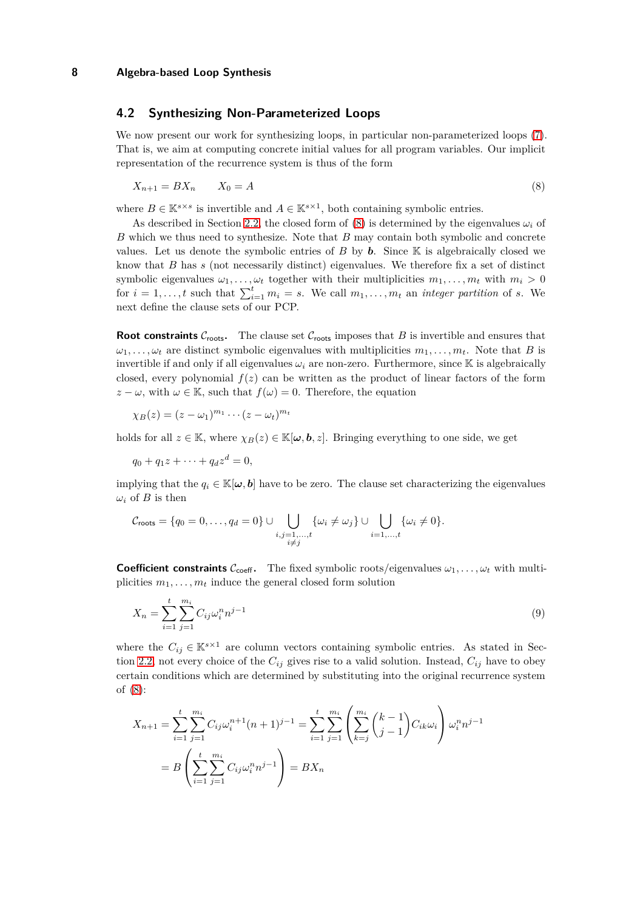# <span id="page-7-0"></span>**4.2 Synthesizing Non-Parameterized Loops**

We now present our work for synthesizing loops, in particular non-parameterized loops [\(7\)](#page-5-0). That is, we aim at computing concrete initial values for all program variables. Our implicit representation of the recurrence system is thus of the form

<span id="page-7-1"></span>
$$
X_{n+1} = BX_n \qquad X_0 = A \tag{8}
$$

where  $B \in \mathbb{K}^{s \times s}$  is invertible and  $A \in \mathbb{K}^{s \times 1}$ , both containing symbolic entries.

As described in Section [2.2,](#page-3-0) the closed form of [\(8\)](#page-7-1) is determined by the eigenvalues  $\omega_i$  of *B* which we thus need to synthesize. Note that *B* may contain both symbolic and concrete values. Let us denote the symbolic entries of  $B$  by  $\boldsymbol{b}$ . Since  $\mathbb K$  is algebraically closed we know that *B* has *s* (not necessarily distinct) eigenvalues. We therefore fix a set of distinct symbolic eigenvalues  $\omega_1, \ldots, \omega_t$  together with their multiplicities  $m_1, \ldots, m_t$  with  $m_i > 0$ for  $i = 1, \ldots, t$  such that  $\sum_{i=1}^{t} m_i = s$ . We call  $m_1, \ldots, m_t$  an *integer partition* of *s*. We next define the clause sets of our PCP.

**Root constraints**  $C_{\text{roots}}$ . The clause set  $C_{\text{roots}}$  imposes that *B* is invertible and ensures that  $\omega_1, \ldots, \omega_t$  are distinct symbolic eigenvalues with multiplicities  $m_1, \ldots, m_t$ . Note that *B* is invertible if and only if all eigenvalues  $\omega_i$  are non-zero. Furthermore, since K is algebraically closed, every polynomial  $f(z)$  can be written as the product of linear factors of the form  $z - \omega$ , with  $\omega \in \mathbb{K}$ , such that  $f(\omega) = 0$ . Therefore, the equation

$$
\chi_B(z)=(z-\omega_1)^{m_1}\cdots(z-\omega_t)^{m_t}
$$

holds for all  $z \in \mathbb{K}$ , where  $\chi_B(z) \in \mathbb{K}[\omega, \mathbf{b}, z]$ . Bringing everything to one side, we get

$$
q_0 + q_1 z + \dots + q_d z^d = 0,
$$

implying that the  $q_i \in \mathbb{K}[\omega, b]$  have to be zero. The clause set characterizing the eigenvalues  $\omega_i$  of *B* is then

$$
\mathcal{C}_{\text{roots}} = \{q_0 = 0, \ldots, q_d = 0\} \cup \bigcup_{\substack{i,j=1,\ldots,t \\ i \neq j}} \{\omega_i \neq \omega_j\} \cup \bigcup_{i=1,\ldots,t} \{\omega_i \neq 0\}.
$$

**Coefficient constraints**  $C_{\text{coeff}}$ . The fixed symbolic roots/eigenvalues  $\omega_1, \ldots, \omega_t$  with multiplicities  $m_1, \ldots, m_t$  induce the general closed form solution

<span id="page-7-2"></span>
$$
X_n = \sum_{i=1}^t \sum_{j=1}^{m_i} C_{ij} \omega_i^n n^{j-1}
$$
\n(9)

where the  $C_{ij} \in \mathbb{K}^{s \times 1}$  are column vectors containing symbolic entries. As stated in Sec-tion [2.2,](#page-3-0) not every choice of the  $C_{ij}$  gives rise to a valid solution. Instead,  $C_{ij}$  have to obey certain conditions which are determined by substituting into the original recurrence system of [\(8\)](#page-7-1):

$$
X_{n+1} = \sum_{i=1}^{t} \sum_{j=1}^{m_i} C_{ij} \omega_i^{n+1} (n+1)^{j-1} = \sum_{i=1}^{t} \sum_{j=1}^{m_i} \left( \sum_{k=j}^{m_i} {k-1 \choose j-1} C_{ik} \omega_i \right) \omega_i^{n} n^{j-1}
$$

$$
= B \left( \sum_{i=1}^{t} \sum_{j=1}^{m_i} C_{ij} \omega_i^{n} n^{j-1} \right) = BX_n
$$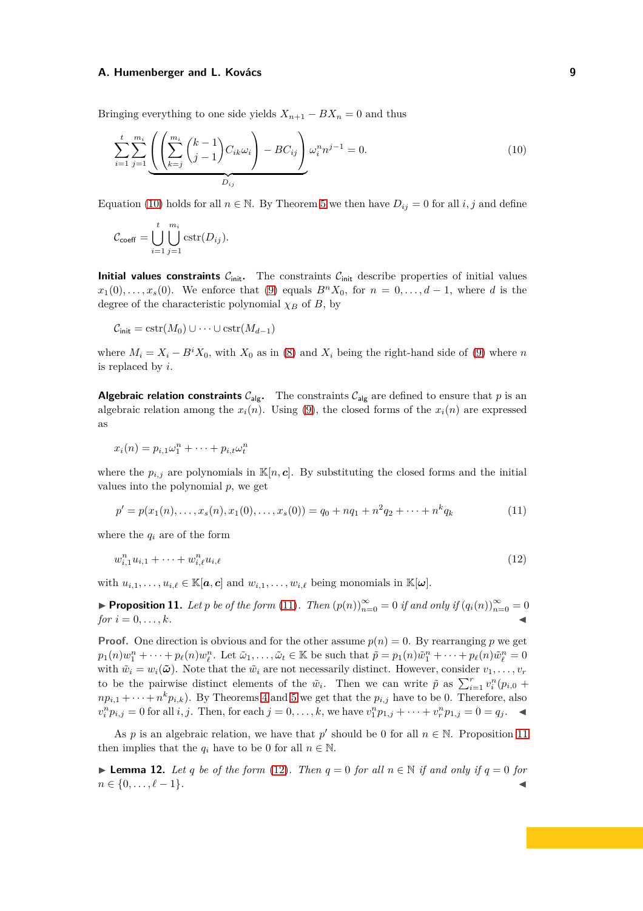Bringing everything to one side yields  $X_{n+1} - BX_n = 0$  and thus

<span id="page-8-0"></span>
$$
\sum_{i=1}^{t} \sum_{j=1}^{m_i} \underbrace{\left( \left( \sum_{k=j}^{m_i} {k-1 \choose j-1} C_{ik} \omega_i \right) - BC_{ij} \right)}_{D_{ij}} \omega_i^n n^{j-1} = 0.
$$
\n(10)

Equation [\(10\)](#page-8-0) holds for all  $n \in \mathbb{N}$ . By Theorem [5](#page-3-1) we then have  $D_{ij} = 0$  for all *i*, *j* and define

$$
\mathcal{C}_{\text{coeff}} = \bigcup_{i=1}^{t} \bigcup_{j=1}^{m_i} \text{cstr}(D_{ij}).
$$

**Initial values constraints**  $C_{init}$ . The constraints  $C_{init}$  describe properties of initial values  $x_1(0), \ldots, x_s(0)$ . We enforce that [\(9\)](#page-7-2) equals  $B<sup>n</sup>X_0$ , for  $n = 0, \ldots, d-1$ , where *d* is the degree of the characteristic polynomial  $\chi_B$  of *B*, by

$$
C_{\text{init}} = \text{cstr}(M_0) \cup \cdots \cup \text{cstr}(M_{d-1})
$$

where  $M_i = X_i - B^i X_0$ , with  $X_0$  as in [\(8\)](#page-7-1) and  $X_i$  being the right-hand side of [\(9\)](#page-7-2) where *n* is replaced by *i*.

**Algebraic relation constraints**  $C_{\text{alg}}$ . The constraints  $C_{\text{alg}}$  are defined to ensure that *p* is an algebraic relation among the  $x_i(n)$ . Using [\(9\)](#page-7-2), the closed forms of the  $x_i(n)$  are expressed as

$$
x_i(n) = p_{i,1}\omega_1^n + \cdots + p_{i,t}\omega_t^n
$$

where the  $p_{i,j}$  are polynomials in  $\mathbb{K}[n,c]$ . By substituting the closed forms and the initial values into the polynomial *p*, we get

<span id="page-8-3"></span><span id="page-8-1"></span>
$$
p' = p(x_1(n), \dots, x_s(n), x_1(0), \dots, x_s(0)) = q_0 + nq_1 + n^2q_2 + \dots + n^kq_k
$$
\n(11)

where the  $q_i$  are of the form

$$
w_{i,1}^n u_{i,1} + \dots + w_{i,\ell}^n u_{i,\ell} \tag{12}
$$

<span id="page-8-2"></span>with  $u_{i,1}, \ldots, u_{i,\ell} \in \mathbb{K}[a, c]$  and  $w_{i,1}, \ldots, w_{i,\ell}$  being monomials in  $\mathbb{K}[\omega]$ .

▶ **Proposition 11.** Let *p* be of the form [\(11\)](#page-8-1). Then  $(p(n))_{n=0}^{\infty} = 0$  if and only if  $(q_i(n))_{n=0}^{\infty} = 0$ *for*  $i = 0, \ldots, k$ *.* 

**Proof.** One direction is obvious and for the other assume  $p(n) = 0$ . By rearranging p we get  $p_1(n)w_1^n + \cdots + p_\ell(n)w_\ell^n$ . Let  $\tilde{\omega}_1, \ldots, \tilde{\omega}_t \in \mathbb{K}$  be such that  $\tilde{p} = p_1(n)\tilde{w}_1^n + \cdots + p_\ell(n)\tilde{w}_\ell^n = 0$ with  $\tilde{w}_i = w_i(\tilde{\omega})$ . Note that the  $\tilde{w}_i$  are not necessarily distinct. However, consider  $v_1, \ldots, v_r$ to be the pairwise distinct elements of the  $\tilde{w}_i$ . Then we can write  $\tilde{p}$  as  $\sum_{i=1}^r v_i^n(p_{i,0} +$  $np_{i,1} + \cdots + n^k p_{i,k}$ ). By Theorems [4](#page-3-2) and [5](#page-3-1) we get that the  $p_{i,j}$  have to be 0. Therefore, also  $v_i^n p_{i,j} = 0$  for all  $i, j$ . Then, for each  $j = 0, ..., k$ , we have  $v_1^n p_{1,j} + \cdots + v_r^n p_{1,j} = 0 = q_j$ .

<span id="page-8-4"></span>As *p* is an algebraic relation, we have that *p*' should be 0 for all  $n \in \mathbb{N}$ . Proposition [11](#page-8-2) then implies that the  $q_i$  have to be 0 for all  $n \in \mathbb{N}$ .

▶ **Lemma 12.** *Let q be of the form* [\(12\)](#page-8-3)*. Then*  $q = 0$  *for all*  $n \in \mathbb{N}$  *if and only if*  $q = 0$  *for*  $n \in \{0, \ldots, \ell-1\}.$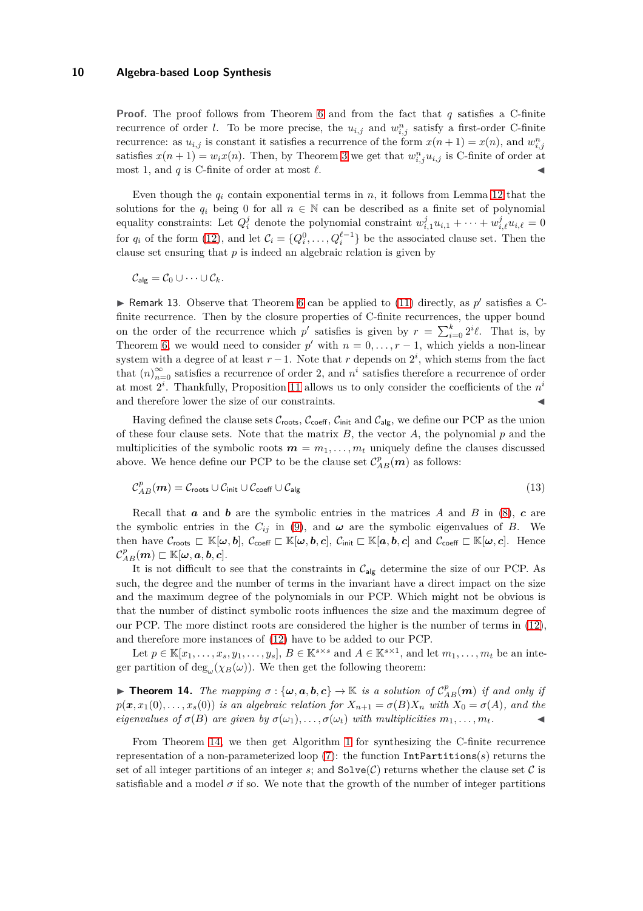**Proof.** The proof follows from Theorem [6](#page-4-5) and from the fact that *q* satisfies a C-finite recurrence of order *l*. To be more precise, the  $u_{i,j}$  and  $w_{i,j}^n$  satisfy a first-order C-finite recurrence: as  $u_{i,j}$  is constant it satisfies a recurrence of the form  $x(n+1) = x(n)$ , and  $w_{i,j}^n$ satisfies  $x(n+1) = w_i x(n)$ . Then, by Theorem [3](#page-3-3) we get that  $w_{i,j}^n u_{i,j}$  is C-finite of order at most 1, and  $q$  is C-finite of order at most  $\ell$ .

Even though the  $q_i$  contain exponential terms in  $n$ , it follows from Lemma [12](#page-8-4) that the solutions for the  $q_i$  being 0 for all  $n \in \mathbb{N}$  can be described as a finite set of polynomial equality constraints: Let  $Q_i^j$  denote the polynomial constraint  $w_{i,1}^j u_{i,1} + \cdots + w_{i,\ell}^j u_{i,\ell} = 0$ for  $q_i$  of the form [\(12\)](#page-8-3), and let  $\mathcal{C}_i = \{Q_i^0, \ldots, Q_i^{\ell-1}\}\$  be the associated clause set. Then the clause set ensuring that *p* is indeed an algebraic relation is given by

 $\mathcal{C}_{\mathsf{alg}} = \mathcal{C}_0 \cup \cdots \cup \mathcal{C}_k.$ 

External Remark 13. Observe that Theorem [6](#page-4-5) can be applied to  $(11)$  directly, as  $p'$  satisfies a Cfinite recurrence. Then by the closure properties of C-finite recurrences, the upper bound on the order of the recurrence which  $p'$  satisfies is given by  $r = \sum_{i=0}^{k} 2^{i} \ell$ . That is, by Theorem [6,](#page-4-5) we would need to consider  $p'$  with  $n = 0, \ldots, r - 1$ , which yields a non-linear system with a degree of at least  $r-1$ . Note that  $r$  depends on  $2^i$ , which stems from the fact that  $(n)_{n=0}^{\infty}$  satisfies a recurrence of order 2, and  $n^{i}$  satisfies therefore a recurrence of order at most 2*<sup>i</sup>* . Thankfully, Proposition [11](#page-8-2) allows us to only consider the coefficients of the *n i* and therefore lower the size of our constraints.  $\blacksquare$ 

Having defined the clause sets  $C_{\text{roots}}$ ,  $C_{\text{coeff}}$ ,  $C_{\text{init}}$  and  $C_{\text{alg}}$ , we define our PCP as the union of these four clause sets. Note that the matrix  $B$ , the vector  $A$ , the polynomial  $p$  and the multiplicities of the symbolic roots  $m = m_1, \ldots, m_t$  uniquely define the clauses discussed above. We hence define our PCP to be the clause set  $\mathcal{C}_{AB}^p(\boldsymbol{m})$  as follows:

$$
\mathcal{C}_{AB}^p(\boldsymbol{m}) = \mathcal{C}_{\text{roots}} \cup \mathcal{C}_{\text{init}} \cup \mathcal{C}_{\text{coeff}} \cup \mathcal{C}_{\text{alg}}
$$
\n(13)

Recall that *a* and *b* are the symbolic entries in the matrices *A* and *B* in [\(8\)](#page-7-1), *c* are the symbolic entries in the  $C_{ij}$  in [\(9\)](#page-7-2), and  $\omega$  are the symbolic eigenvalues of *B*. We then have  $\mathcal{C}_{\text{roots}} \subset \mathbb{K}[\omega, b], \ \mathcal{C}_{\text{coeff}} \subset \mathbb{K}[\omega, b, c], \ \mathcal{C}_{\text{init}} \subset \mathbb{K}[a, b, c]$  and  $\mathcal{C}_{\text{coeff}} \subset \mathbb{K}[\omega, c]$ . Hence  $\mathcal{C}_{AB}^{p}(\bm{m})\sqsubset\mathbb{K}[\bm{\omega},\bm{a},\bm{b},\bm{c}].$ 

It is not difficult to see that the constraints in  $C_{\text{alg}}$  determine the size of our PCP. As such, the degree and the number of terms in the invariant have a direct impact on the size and the maximum degree of the polynomials in our PCP. Which might not be obvious is that the number of distinct symbolic roots influences the size and the maximum degree of our PCP. The more distinct roots are considered the higher is the number of terms in [\(12\)](#page-8-3), and therefore more instances of [\(12\)](#page-8-3) have to be added to our PCP.

<span id="page-9-0"></span>Let  $p \in \mathbb{K}[x_1,\ldots,x_s,y_1,\ldots,y_s], B \in \mathbb{K}^{s \times s}$  and  $A \in \mathbb{K}^{s \times 1}$ , and let  $m_1,\ldots,m_t$  be an integer partition of  $deg_{\omega}(\chi_B(\omega))$ . We then get the following theorem:

**Fineorem 14.** The mapping  $\sigma$ : { $\omega$ ,  $a$ ,  $b$ ,  $c$ }  $\rightarrow$  K *is a solution of*  $C_{AB}^p(m)$  *if and only if*  $p(x, x_1(0), \ldots, x_s(0))$  *is an algebraic relation for*  $X_{n+1} = \sigma(B)X_n$  *with*  $X_0 = \sigma(A)$ *, and the eigenvalues of*  $\sigma(B)$  *are given by*  $\sigma(\omega_1), \ldots, \sigma(\omega_t)$  *with multiplicities*  $m_1, \ldots, m_t$ .

From Theorem [14,](#page-9-0) we then get Algorithm [1](#page-10-1) for synthesizing the C-finite recurrence representation of a non-parameterized loop [\(7\)](#page-5-0): the function IntPartitions(*s*) returns the set of all integer partitions of an integer  $s$ ; and  $Solve(\mathcal{C})$  returns whether the clause set  $\mathcal{C}$  is satisfiable and a model  $\sigma$  if so. We note that the growth of the number of integer partitions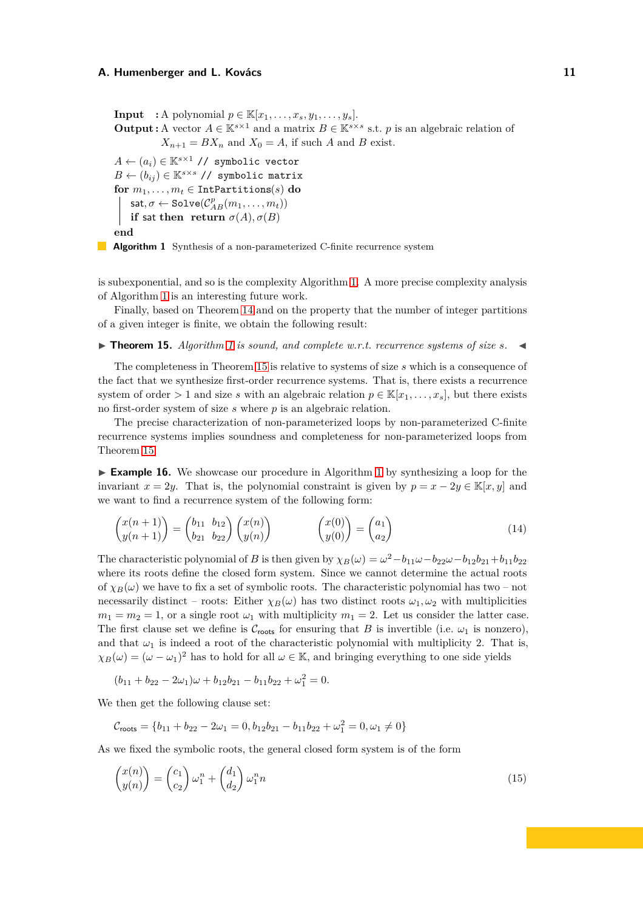**Input** : A polynomial  $p \in \mathbb{K}[x_1, \ldots, x_s, y_1, \ldots, y_s].$ **Output :** A vector  $A \in \mathbb{K}^{s \times 1}$  and a matrix  $B \in \mathbb{K}^{s \times s}$  s.t. *p* is an algebraic relation of  $X_{n+1} = BX_n$  and  $X_0 = A$ , if such *A* and *B* exist.  $A \leftarrow (a_i) \in \mathbb{K}^{s \times 1}$  // symbolic vector  $B \leftarrow (b_{ij}) \in \mathbb{K}^{s \times s}$  // symbolic matrix **for**  $m_1, \ldots, m_t \in \text{IntPartitions}(s)$  **do**  $\textsf{sat}, \sigma \gets \texttt{Solve}(\mathcal{C}_{AB}^p(m_1, \ldots, m_t))$ **if** sat then return  $\sigma(A)$ ,  $\sigma(B)$ **end**

<span id="page-10-1"></span>**Algorithm 1** Synthesis of a non-parameterized C-finite recurrence system

is subexponential, and so is the complexity Algorithm [1.](#page-10-1) A more precise complexity analysis of Algorithm [1](#page-10-1) is an interesting future work.

<span id="page-10-0"></span>Finally, based on Theorem [14](#page-9-0) and on the property that the number of integer partitions of a given integer is finite, we obtain the following result:

 $\blacktriangleright$  **Theorem [1](#page-10-1)5.** Algorithm 1 is sound, and complete w.r.t. recurrence systems of size s.  $\blacktriangleleft$ 

The completeness in Theorem [15](#page-10-0) is relative to systems of size *s* which is a consequence of the fact that we synthesize first-order recurrence systems. That is, there exists a recurrence system of order  $> 1$  and size *s* with an algebraic relation  $p \in K[x_1, \ldots, x_s]$ , but there exists no first-order system of size *s* where *p* is an algebraic relation.

The precise characterization of non-parameterized loops by non-parameterized C-finite recurrence systems implies soundness and completeness for non-parameterized loops from Theorem [15.](#page-10-0)

<span id="page-10-4"></span>► **Example [1](#page-10-1)6.** We showcase our procedure in Algorithm 1 by synthesizing a loop for the invariant  $x = 2y$ . That is, the polynomial constraint is given by  $p = x - 2y \in \mathbb{K}[x, y]$  and we want to find a recurrence system of the following form:

<span id="page-10-3"></span>
$$
\begin{pmatrix} x(n+1) \\ y(n+1) \end{pmatrix} = \begin{pmatrix} b_{11} & b_{12} \\ b_{21} & b_{22} \end{pmatrix} \begin{pmatrix} x(n) \\ y(n) \end{pmatrix} \qquad \qquad \begin{pmatrix} x(0) \\ y(0) \end{pmatrix} = \begin{pmatrix} a_1 \\ a_2 \end{pmatrix} \tag{14}
$$

The characteristic polynomial of *B* is then given by  $\chi_B(\omega) = \omega^2 - b_{11}\omega - b_{22}\omega - b_{12}b_{21} + b_{11}b_{22}$ where its roots define the closed form system. Since we cannot determine the actual roots of  $\chi_B(\omega)$  we have to fix a set of symbolic roots. The characteristic polynomial has two – not necessarily distinct – roots: Either  $\chi_B(\omega)$  has two distinct roots  $\omega_1, \omega_2$  with multiplicities  $m_1 = m_2 = 1$ , or a single root  $\omega_1$  with multiplicity  $m_1 = 2$ . Let us consider the latter case. The first clause set we define is  $C_{\text{roots}}$  for ensuring that *B* is invertible (i.e.  $\omega_1$  is nonzero), and that  $\omega_1$  is indeed a root of the characteristic polynomial with multiplicity 2. That is,  $\chi_B(\omega) = (\omega - \omega_1)^2$  has to hold for all  $\omega \in \mathbb{K}$ , and bringing everything to one side yields

$$
(b_{11} + b_{22} - 2\omega_1)\omega + b_{12}b_{21} - b_{11}b_{22} + \omega_1^2 = 0.
$$

We then get the following clause set:

<span id="page-10-2"></span>
$$
\mathcal{C}_{\text{roots}} = \{b_{11} + b_{22} - 2\omega_1 = 0, b_{12}b_{21} - b_{11}b_{22} + \omega_1^2 = 0, \omega_1 \neq 0\}
$$

As we fixed the symbolic roots, the general closed form system is of the form

$$
\begin{pmatrix} x(n) \\ y(n) \end{pmatrix} = \begin{pmatrix} c_1 \\ c_2 \end{pmatrix} \omega_1^n + \begin{pmatrix} d_1 \\ d_2 \end{pmatrix} \omega_1^n n \tag{15}
$$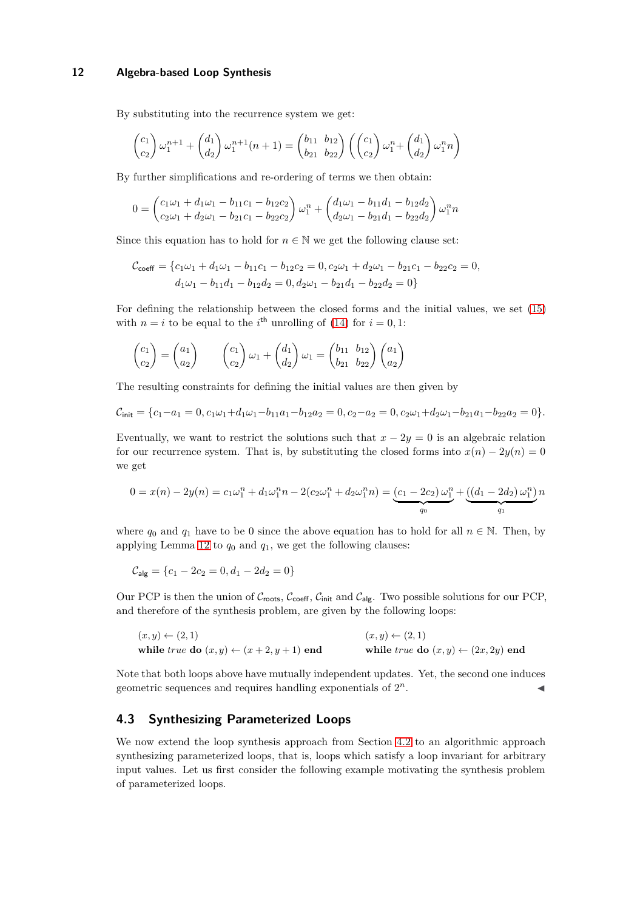By substituting into the recurrence system we get:

$$
\begin{pmatrix} c_1 \\ c_2 \end{pmatrix} \omega_1^{n+1} + \begin{pmatrix} d_1 \\ d_2 \end{pmatrix} \omega_1^{n+1} (n+1) = \begin{pmatrix} b_{11} & b_{12} \\ b_{21} & b_{22} \end{pmatrix} \left( \begin{pmatrix} c_1 \\ c_2 \end{pmatrix} \omega_1^{n} + \begin{pmatrix} d_1 \\ d_2 \end{pmatrix} \omega_1^{n} n \right)
$$

By further simplifications and re-ordering of terms we then obtain:

$$
0 = \begin{pmatrix} c_1\omega_1 + d_1\omega_1 - b_{11}c_1 - b_{12}c_2 \\ c_2\omega_1 + d_2\omega_1 - b_{21}c_1 - b_{22}c_2 \end{pmatrix} \omega_1^n + \begin{pmatrix} d_1\omega_1 - b_{11}d_1 - b_{12}d_2 \\ d_2\omega_1 - b_{21}d_1 - b_{22}d_2 \end{pmatrix} \omega_1^n n
$$

Since this equation has to hold for  $n \in \mathbb{N}$  we get the following clause set:

$$
\mathcal{C}_{\text{coeff}} = \{c_1\omega_1 + d_1\omega_1 - b_{11}c_1 - b_{12}c_2 = 0, c_2\omega_1 + d_2\omega_1 - b_{21}c_1 - b_{22}c_2 = 0, \nd_1\omega_1 - b_{11}d_1 - b_{12}d_2 = 0, d_2\omega_1 - b_{21}d_1 - b_{22}d_2 = 0\}
$$

For defining the relationship between the closed forms and the initial values, we set [\(15\)](#page-10-2) with  $n = i$  to be equal to the *i*<sup>th</sup> unrolling of [\(14\)](#page-10-3) for  $i = 0, 1$ :

$$
\begin{pmatrix} c_1 \ c_2 \end{pmatrix} = \begin{pmatrix} a_1 \ a_2 \end{pmatrix} \qquad \begin{pmatrix} c_1 \ c_2 \end{pmatrix} \omega_1 + \begin{pmatrix} d_1 \ d_2 \end{pmatrix} \omega_1 = \begin{pmatrix} b_{11} & b_{12} \ b_{21} & b_{22} \end{pmatrix} \begin{pmatrix} a_1 \ a_2 \end{pmatrix}
$$

The resulting constraints for defining the initial values are then given by

$$
\mathcal{C}_{\text{init}} = \{c_1 - a_1 = 0, c_1\omega_1 + d_1\omega_1 - b_{11}a_1 - b_{12}a_2 = 0, c_2 - a_2 = 0, c_2\omega_1 + d_2\omega_1 - b_{21}a_1 - b_{22}a_2 = 0\}.
$$

Eventually, we want to restrict the solutions such that  $x - 2y = 0$  is an algebraic relation for our recurrence system. That is, by substituting the closed forms into  $x(n) - 2y(n) = 0$ we get

$$
0 = x(n) - 2y(n) = c_1\omega_1^n + d_1\omega_1^n n - 2(c_2\omega_1^n + d_2\omega_1^n n) = \underbrace{(c_1 - 2c_2)\omega_1^n}_{q_0} + \underbrace{((d_1 - 2d_2)\omega_1^n)}_{q_1}n
$$

where  $q_0$  and  $q_1$  have to be 0 since the above equation has to hold for all  $n \in \mathbb{N}$ . Then, by applying Lemma [12](#page-8-4) to  $q_0$  and  $q_1$ , we get the following clauses:

$$
\mathcal{C}_{\text{alg}} = \{c_1 - 2c_2 = 0, d_1 - 2d_2 = 0\}
$$

Our PCP is then the union of  $C_{\text{roots}}$ ,  $C_{\text{coeff}}$ ,  $C_{\text{init}}$  and  $C_{\text{alg}}$ . Two possible solutions for our PCP, and therefore of the synthesis problem, are given by the following loops:

$$
(x, y) \leftarrow (2, 1)
$$
  
while *true* do  $(x, y) \leftarrow (x + 2, y + 1)$  end  
while *true* do  $(x, y) \leftarrow (2x, 2y)$  end

Note that both loops above have mutually independent updates. Yet, the second one induces geometric sequences and requires handling exponentials of 2 *n* . ◭

#### <span id="page-11-0"></span>**4.3 Synthesizing Parameterized Loops**

<span id="page-11-1"></span>We now extend the loop synthesis approach from Section [4.2](#page-7-0) to an algorithmic approach synthesizing parameterized loops, that is, loops which satisfy a loop invariant for arbitrary input values. Let us first consider the following example motivating the synthesis problem of parameterized loops.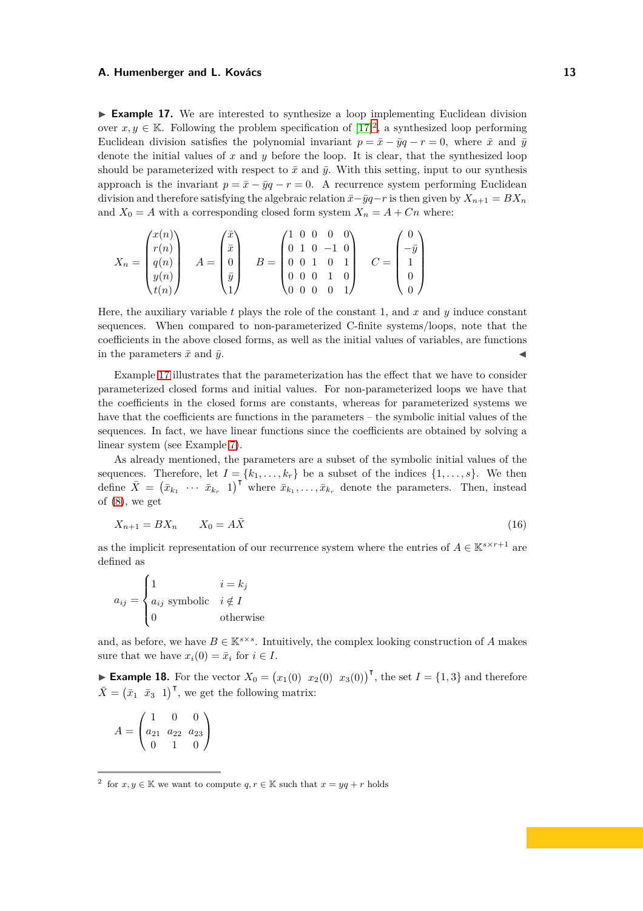► **Example 17.** We are interested to synthesize a loop implementing Euclidean division over  $x, y \in \mathbb{K}$ . Following the problem specification of  $[17]^2$  $[17]^2$ , a synthesized loop performing Euclidean division satisfies the polynomial invariant  $p = \bar{x} - \bar{y}q - r = 0$ , where  $\bar{x}$  and  $\bar{y}$ denote the initial values of  $x$  and  $y$  before the loop. It is clear, that the synthesized loop should be parameterized with respect to  $\bar{x}$  and  $\bar{y}$ . With this setting, input to our synthesis approach is the invariant  $p = \bar{x} - \bar{y}q - r = 0$ . A recurrence system performing Euclidean division and therefore satisfying the algebraic relation  $\bar{x}-\bar{y}q-r$  is then given by  $X_{n+1} = BX_n$ and  $X_0 = A$  with a corresponding closed form system  $X_n = A + C_n$  where:

$$
X_n = \begin{pmatrix} x(n) \\ r(n) \\ q(n) \\ y(n) \\ t(n) \end{pmatrix} \quad A = \begin{pmatrix} \bar{x} \\ \bar{x} \\ 0 \\ \bar{y} \\ 1 \end{pmatrix} \quad B = \begin{pmatrix} 1 & 0 & 0 & 0 & 0 \\ 0 & 1 & 0 & -1 & 0 \\ 0 & 0 & 1 & 0 & 1 \\ 0 & 0 & 0 & 1 & 0 \\ 0 & 0 & 0 & 0 & 1 \end{pmatrix} \quad C = \begin{pmatrix} 0 \\ -\bar{y} \\ 1 \\ 0 \\ 0 \end{pmatrix}
$$

Here, the auxiliary variable *t* plays the role of the constant 1, and *x* and *y* induce constant sequences. When compared to non-parameterized C-finite systems/loops, note that the coefficients in the above closed forms, as well as the initial values of variables, are functions in the parameters  $\bar{x}$  and  $\bar{y}$ .

Example [17](#page-11-1) illustrates that the parameterization has the effect that we have to consider parameterized closed forms and initial values. For non-parameterized loops we have that the coefficients in the closed forms are constants, whereas for parameterized systems we have that the coefficients are functions in the parameters – the symbolic initial values of the sequences. In fact, we have linear functions since the coefficients are obtained by solving a linear system (see Example [7\)](#page-4-4).

As already mentioned, the parameters are a subset of the symbolic initial values of the sequences. Therefore, let  $I = \{k_1, \ldots, k_r\}$  be a subset of the indices  $\{1, \ldots, s\}$ . We then define  $\bar{X} = (\bar{x}_{k_1} \cdots \bar{x}_{k_r} 1)^\mathsf{T}$  where  $\bar{x}_{k_1}, \ldots, \bar{x}_{k_r}$  denote the parameters. Then, instead of [\(8\)](#page-7-1), we get

<span id="page-12-1"></span>
$$
X_{n+1} = BX_n \qquad X_0 = A\bar{X} \tag{16}
$$

as the implicit representation of our recurrence system where the entries of  $A \in \mathbb{K}^{s \times r+1}$  are defined as

$$
a_{ij} = \begin{cases} 1 & i = k_j \\ a_{ij} \text{ symbolic} & i \notin I \\ 0 & \text{otherwise} \end{cases}
$$

and, as before, we have  $B \in \mathbb{K}^{s \times s}$ . Intuitively, the complex looking construction of *A* makes sure that we have  $x_i(0) = \bar{x}_i$  for  $i \in I$ .

► **Example 18.** For the vector  $X_0 = (x_1(0) \ x_2(0) \ x_3(0))^T$ , the set  $I = \{1,3\}$  and therefore  $\bar{X} = (\bar{x}_1 \ \bar{x}_3 \ 1)$ <sup>T</sup>, we get the following matrix:

$$
A = \begin{pmatrix} 1 & 0 & 0 \\ a_{21} & a_{22} & a_{23} \\ 0 & 1 & 0 \end{pmatrix}
$$

<span id="page-12-0"></span><sup>&</sup>lt;sup>2</sup> for  $x, y \in \mathbb{K}$  we want to compute  $q, r \in \mathbb{K}$  such that  $x = yq + r$  holds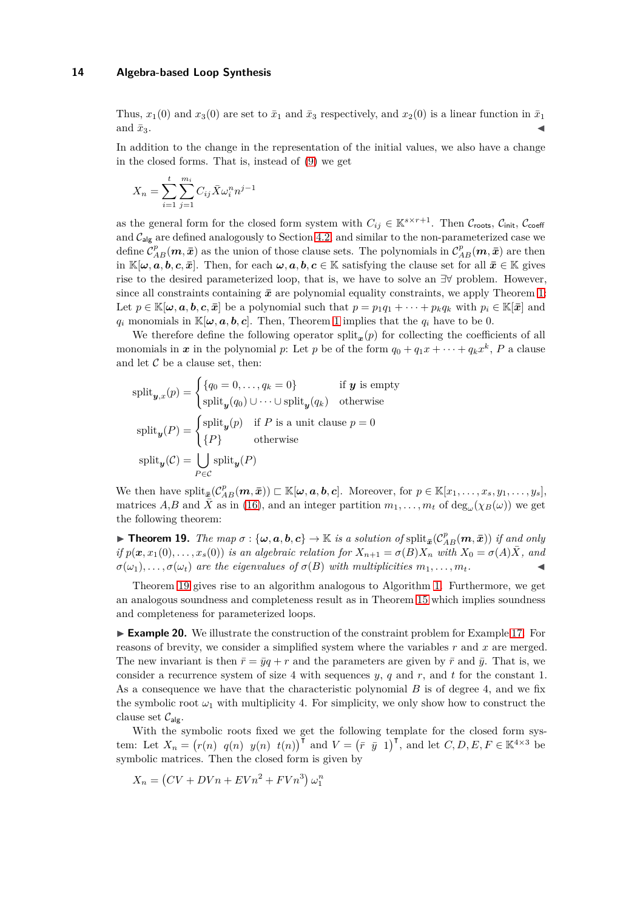Thus,  $x_1(0)$  and  $x_3(0)$  are set to  $\bar{x}_1$  and  $\bar{x}_3$  respectively, and  $x_2(0)$  is a linear function in  $\bar{x}_1$ and  $\bar{x}_3$ .

In addition to the change in the representation of the initial values, we also have a change in the closed forms. That is, instead of [\(9\)](#page-7-2) we get

$$
X_n = \sum_{i=1}^t \sum_{j=1}^{m_i} C_{ij} \bar{X} \omega_i^n n^{j-1}
$$

as the general form for the closed form system with  $C_{ij} \in \mathbb{K}^{s \times r+1}$ . Then  $C_{\text{roots}}$ ,  $C_{\text{init}}$ ,  $C_{\text{coeff}}$ and  $C_{\text{alg}}$  are defined analogously to Section [4.2,](#page-7-0) and similar to the non-parameterized case we define  $\mathcal{C}_{AB}^p(\bm{m}, \bar{\bm{x}})$  as the union of those clause sets. The polynomials in  $\mathcal{C}_{AB}^p(\bm{m}, \bar{\bm{x}})$  are then in  $\mathbb{K}[\omega, a, b, c, \bar{x}]$ . Then, for each  $\omega, a, b, c \in \mathbb{K}$  satisfying the clause set for all  $\bar{x} \in \mathbb{K}$  gives rise to the desired parameterized loop, that is, we have to solve an ∃∀ problem. However, since all constraints containing  $\bar{x}$  are polynomial equality constraints, we apply Theorem [1:](#page-3-4) Let  $p \in \mathbb{K}[\omega, a, b, c, \bar{x}]$  be a polynomial such that  $p = p_1 q_1 + \cdots + p_k q_k$  with  $p_i \in \mathbb{K}[\bar{x}]$  and *q*<sub>*i*</sub> monomials in  $\mathbb{K}[\omega, a, b, c]$ . Then, Theorem [1](#page-3-4) implies that the  $q_i$  have to be 0.

We therefore define the following operator split<sub> $x$ </sub>( $p$ ) for collecting the coefficients of all monomials in *x* in the polynomial *p*: Let *p* be of the form  $q_0 + q_1x + \cdots + q_kx^k$ , *P* a clause and let  $C$  be a clause set, then:

$$
\text{split}_{\mathbf{y},x}(p) = \begin{cases} \{q_0 = 0, \dots, q_k = 0\} & \text{if } \mathbf{y} \text{ is empty} \\ \text{split}_{\mathbf{y}}(q_0) \cup \dots \cup \text{split}_{\mathbf{y}}(q_k) & \text{otherwise} \end{cases}
$$
\n
$$
\text{split}_{\mathbf{y}}(P) = \begin{cases} \text{split}_{\mathbf{y}}(p) & \text{if } P \text{ is a unit clause } p = 0 \\ \{P\} & \text{otherwise} \end{cases}
$$
\n
$$
\text{split}_{\mathbf{y}}(C) = \bigcup_{P \in C} \text{split}_{\mathbf{y}}(P)
$$

We then have  $\text{split}_{\mathbf{\bar{z}}}(\mathcal{C}_{AB}^p(\boldsymbol{m},\bar{\boldsymbol{x}})) \subset \mathbb{K}[\boldsymbol{\omega},\boldsymbol{a},\boldsymbol{b},\boldsymbol{c}].$  Moreover, for  $p \in \mathbb{K}[x_1,\ldots,x_s,y_1,\ldots,y_s],$ matrices *A*,*B* and  $\overline{X}$  as in [\(16\)](#page-12-1), and an integer partition  $m_1, \ldots, m_t$  of  $\deg_{\omega}(\chi_B(\omega))$  we get the following theorem:

<span id="page-13-0"></span>**Theorem 19.** The map  $\sigma : {\{\omega, a, b, c\}} \to \mathbb{K}$  is a solution of  $\text{split}_{\mathbf{\bar{x}}}(\mathcal{C}_{AB}^p(\boldsymbol{m},\bar{\boldsymbol{x}}))$  if and only if  $p(\mathbf{x}, x_1(0), \ldots, x_s(0))$  is an algebraic relation for  $X_{n+1} = \sigma(B)X_n$  with  $X_0 = \sigma(A)\overline{X}$ , and  $\sigma(\omega_1), \ldots, \sigma(\omega_t)$  are the eigenvalues of  $\sigma(B)$  with multiplicities  $m_1, \ldots, m_t$ .

Theorem [19](#page-13-0) gives rise to an algorithm analogous to Algorithm [1.](#page-10-1) Furthermore, we get an analogous soundness and completeness result as in Theorem [15](#page-10-0) which implies soundness and completeness for parameterized loops.

► **Example 20.** We illustrate the construction of the constraint problem for Example [17.](#page-11-1) For reasons of brevity, we consider a simplified system where the variables *r* and *x* are merged. The new invariant is then  $\bar{r} = \bar{y}q + r$  and the parameters are given by  $\bar{r}$  and  $\bar{y}$ . That is, we consider a recurrence system of size 4 with sequences *y*, *q* and *r*, and *t* for the constant 1. As a consequence we have that the characteristic polynomial *B* is of degree 4, and we fix the symbolic root  $\omega_1$  with multiplicity 4. For simplicity, we only show how to construct the clause set  $\mathcal{C}_{\mathsf{a}|\sigma}$ .

With the symbolic roots fixed we get the following template for the closed form system: Let  $X_n = (r(n) \ q(n) \ y(n) \ t(n))^{\mathsf{T}}$  and  $V = (\bar{r} \ \bar{y} \ 1)^{\mathsf{T}}$ , and let  $C, D, E, F \in \mathbb{K}^{4 \times 3}$  be symbolic matrices. Then the closed form is given by

$$
X_n = (CV + DVn + EVn^2 + FVn^3) \omega_1^n
$$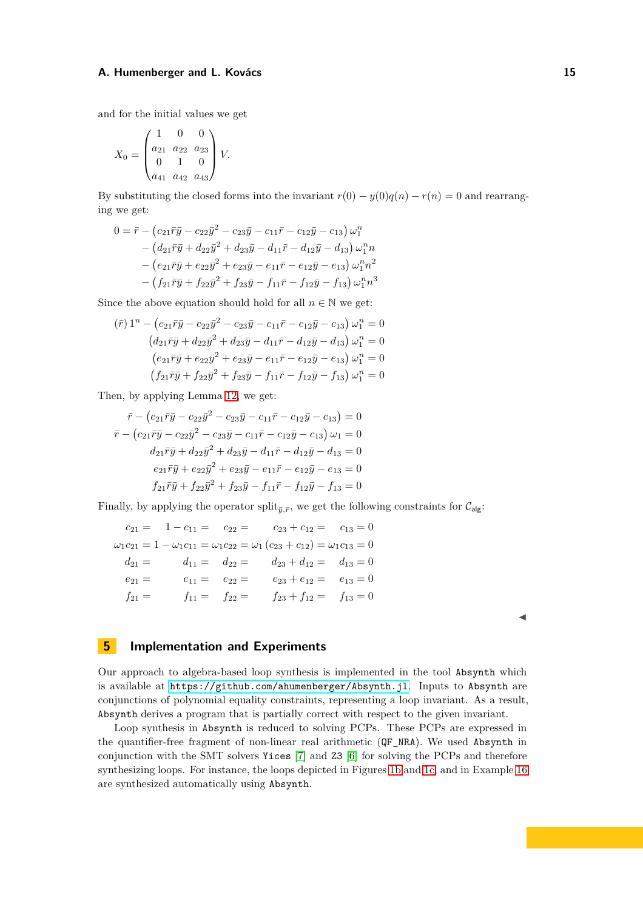and for the initial values we get

$$
X_0 = \begin{pmatrix} 1 & 0 & 0 \\ a_{21} & a_{22} & a_{23} \\ 0 & 1 & 0 \\ a_{41} & a_{42} & a_{43} \end{pmatrix} V.
$$

By substituting the closed forms into the invariant  $r(0) - y(0)q(n) - r(n) = 0$  and rearranging we get:

$$
0 = \bar{r} - (c_{21}\bar{r}\bar{y} - c_{22}\bar{y}^2 - c_{23}\bar{y} - c_{11}\bar{r} - c_{12}\bar{y} - c_{13}) \omega_1^n
$$
  
- 
$$
(d_{21}\bar{r}\bar{y} + d_{22}\bar{y}^2 + d_{23}\bar{y} - d_{11}\bar{r} - d_{12}\bar{y} - d_{13}) \omega_1^n n
$$
  
- 
$$
(e_{21}\bar{r}\bar{y} + e_{22}\bar{y}^2 + e_{23}\bar{y} - e_{11}\bar{r} - e_{12}\bar{y} - e_{13}) \omega_1^n n^2
$$
  
- 
$$
(f_{21}\bar{r}\bar{y} + f_{22}\bar{y}^2 + f_{23}\bar{y} - f_{11}\bar{r} - f_{12}\bar{y} - f_{13}) \omega_1^n n^3
$$

Since the above equation should hold for all  $n \in \mathbb{N}$  we get:

$$
(\bar{r}) 1^{n} - (c_{21}\bar{r}\bar{y} - c_{22}\bar{y}^{2} - c_{23}\bar{y} - c_{11}\bar{r} - c_{12}\bar{y} - c_{13}) \omega_{1}^{n} = 0
$$
  
\n
$$
(d_{21}\bar{r}\bar{y} + d_{22}\bar{y}^{2} + d_{23}\bar{y} - d_{11}\bar{r} - d_{12}\bar{y} - d_{13}) \omega_{1}^{n} = 0
$$
  
\n
$$
(e_{21}\bar{r}\bar{y} + e_{22}\bar{y}^{2} + e_{23}\bar{y} - e_{11}\bar{r} - e_{12}\bar{y} - e_{13}) \omega_{1}^{n} = 0
$$
  
\n
$$
(f_{21}\bar{r}\bar{y} + f_{22}\bar{y}^{2} + f_{23}\bar{y} - f_{11}\bar{r} - f_{12}\bar{y} - f_{13}) \omega_{1}^{n} = 0
$$

Then, by applying Lemma [12,](#page-8-4) we get:

$$
\bar{r} - (c_{21}\bar{r}\bar{y} - c_{22}\bar{y}^{2} - c_{23}\bar{y} - c_{11}\bar{r} - c_{12}\bar{y} - c_{13}) = 0
$$
  

$$
\bar{r} - (c_{21}\bar{r}\bar{y} - c_{22}\bar{y}^{2} - c_{23}\bar{y} - c_{11}\bar{r} - c_{12}\bar{y} - c_{13}) \omega_{1} = 0
$$
  

$$
d_{21}\bar{r}\bar{y} + d_{22}\bar{y}^{2} + d_{23}\bar{y} - d_{11}\bar{r} - d_{12}\bar{y} - d_{13} = 0
$$
  

$$
e_{21}\bar{r}\bar{y} + e_{22}\bar{y}^{2} + e_{23}\bar{y} - e_{11}\bar{r} - e_{12}\bar{y} - e_{13} = 0
$$
  

$$
f_{21}\bar{r}\bar{y} + f_{22}\bar{y}^{2} + f_{23}\bar{y} - f_{11}\bar{r} - f_{12}\bar{y} - f_{13} = 0
$$

Finally, by applying the operator split<sub> $\bar{y}, \bar{r}$ , we get the following constraints for  $C_{\mathsf{alg}}$ :</sub>

$$
c_{21} = 1 - c_{11} = c_{22} = c_{23} + c_{12} = c_{13} = 0
$$
  
\n
$$
\omega_1 c_{21} = 1 - \omega_1 c_{11} = \omega_1 c_{22} = \omega_1 (c_{23} + c_{12}) = \omega_1 c_{13} = 0
$$
  
\n
$$
d_{21} = d_{11} = d_{22} = d_{23} + d_{12} = d_{13} = 0
$$
  
\n
$$
e_{21} = e_{11} = e_{22} = e_{23} + e_{12} = e_{13} = 0
$$
  
\n
$$
f_{21} = f_{11} = f_{22} = f_{23} + f_{12} = f_{13} = 0
$$

◭

# **5** Implementation and Experiments

Our approach to algebra-based loop synthesis is implemented in the tool Absynth which is available at <https://github.com/ahumenberger/Absynth.jl>. Inputs to Absynth are conjunctions of polynomial equality constraints, representing a loop invariant. As a result, Absynth derives a program that is partially correct with respect to the given invariant.

Loop synthesis in Absynth is reduced to solving PCPs. These PCPs are expressed in the quantifier-free fragment of non-linear real arithmetic (QF\_NRA). We used Absynth in conjunction with the SMT solvers Yices [\[7\]](#page-16-2) and Z3 [\[6\]](#page-16-3) for solving the PCPs and therefore synthesizing loops. For instance, the loops depicted in Figures [1b](#page-1-0) and [1c,](#page-1-0) and in Example [16](#page-10-4) are synthesized automatically using Absynth.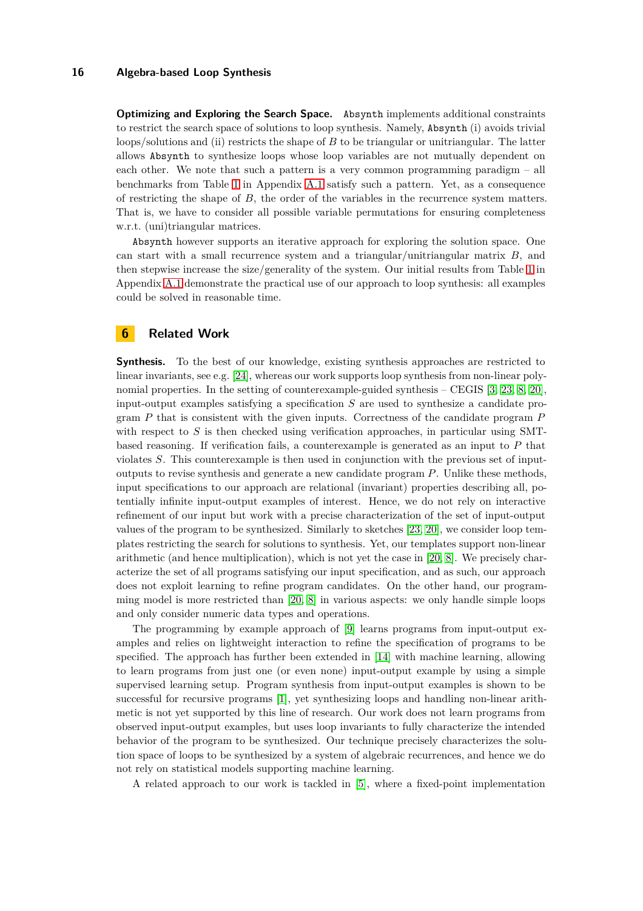<span id="page-15-0"></span>**Optimizing and Exploring the Search Space.** Absynth implements additional constraints to restrict the search space of solutions to loop synthesis. Namely, Absynth (i) avoids trivial loops/solutions and (ii) restricts the shape of *B* to be triangular or unitriangular. The latter allows Absynth to synthesize loops whose loop variables are not mutually dependent on each other. We note that such a pattern is a very common programming paradigm – all benchmarks from Table [1](#page-18-0) in Appendix [A.1](#page-18-1) satisfy such a pattern. Yet, as a consequence of restricting the shape of *B*, the order of the variables in the recurrence system matters. That is, we have to consider all possible variable permutations for ensuring completeness w.r.t. (uni)triangular matrices.

Absynth however supports an iterative approach for exploring the solution space. One can start with a small recurrence system and a triangular/unitriangular matrix *B*, and then stepwise increase the size/generality of the system. Our initial results from Table [1](#page-18-0) in Appendix [A.1](#page-18-1) demonstrate the practical use of our approach to loop synthesis: all examples could be solved in reasonable time.

# **6 Related Work**

**Synthesis.** To the best of our knowledge, existing synthesis approaches are restricted to linear invariants, see e.g. [\[24\]](#page-17-11), whereas our work supports loop synthesis from non-linear polynomial properties. In the setting of counterexample-guided synthesis – CEGIS [\[3,](#page-16-4) [23,](#page-17-12) [8,](#page-16-1) [20\]](#page-17-3), input-output examples satisfying a specification *S* are used to synthesize a candidate program *P* that is consistent with the given inputs. Correctness of the candidate program *P* with respect to *S* is then checked using verification approaches, in particular using SMTbased reasoning. If verification fails, a counterexample is generated as an input to *P* that violates *S*. This counterexample is then used in conjunction with the previous set of inputoutputs to revise synthesis and generate a new candidate program *P*. Unlike these methods, input specifications to our approach are relational (invariant) properties describing all, potentially infinite input-output examples of interest. Hence, we do not rely on interactive refinement of our input but work with a precise characterization of the set of input-output values of the program to be synthesized. Similarly to sketches [\[23,](#page-17-12) [20\]](#page-17-3), we consider loop templates restricting the search for solutions to synthesis. Yet, our templates support non-linear arithmetic (and hence multiplication), which is not yet the case in [\[20,](#page-17-3) [8\]](#page-16-1). We precisely characterize the set of all programs satisfying our input specification, and as such, our approach does not exploit learning to refine program candidates. On the other hand, our programming model is more restricted than [\[20,](#page-17-3) [8\]](#page-16-1) in various aspects: we only handle simple loops and only consider numeric data types and operations.

The programming by example approach of [\[9\]](#page-16-5) learns programs from input-output examples and relies on lightweight interaction to refine the specification of programs to be specified. The approach has further been extended in [\[14\]](#page-17-13) with machine learning, allowing to learn programs from just one (or even none) input-output example by using a simple supervised learning setup. Program synthesis from input-output examples is shown to be successful for recursive programs [\[1\]](#page-16-6), yet synthesizing loops and handling non-linear arithmetic is not yet supported by this line of research. Our work does not learn programs from observed input-output examples, but uses loop invariants to fully characterize the intended behavior of the program to be synthesized. Our technique precisely characterizes the solution space of loops to be synthesized by a system of algebraic recurrences, and hence we do not rely on statistical models supporting machine learning.

A related approach to our work is tackled in [\[5\]](#page-16-7), where a fixed-point implementation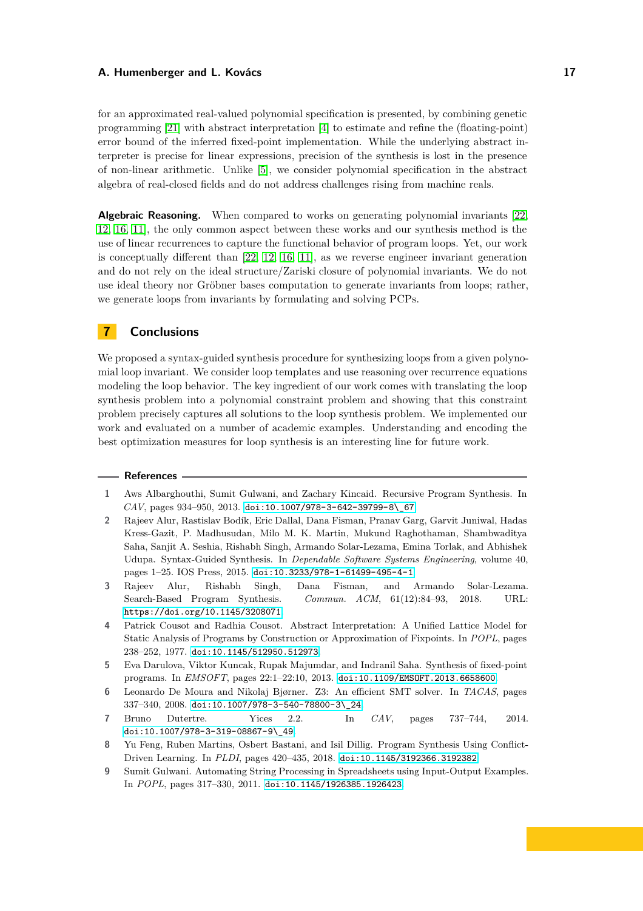for an approximated real-valued polynomial specification is presented, by combining genetic programming [\[21\]](#page-17-14) with abstract interpretation [\[4\]](#page-16-8) to estimate and refine the (floating-point) error bound of the inferred fixed-point implementation. While the underlying abstract interpreter is precise for linear expressions, precision of the synthesis is lost in the presence of non-linear arithmetic. Unlike [\[5\]](#page-16-7), we consider polynomial specification in the abstract algebra of real-closed fields and do not address challenges rising from machine reals.

**Algebraic Reasoning.** When compared to works on generating polynomial invariants [\[22,](#page-17-4) [12,](#page-17-5) [16,](#page-17-6) [11\]](#page-17-15), the only common aspect between these works and our synthesis method is the use of linear recurrences to capture the functional behavior of program loops. Yet, our work is conceptually different than [\[22,](#page-17-4) [12,](#page-17-5) [16,](#page-17-6) [11\]](#page-17-15), as we reverse engineer invariant generation and do not rely on the ideal structure/Zariski closure of polynomial invariants. We do not use ideal theory nor Gröbner bases computation to generate invariants from loops; rather, we generate loops from invariants by formulating and solving PCPs.

# **7 Conclusions**

We proposed a syntax-guided synthesis procedure for synthesizing loops from a given polynomial loop invariant. We consider loop templates and use reasoning over recurrence equations modeling the loop behavior. The key ingredient of our work comes with translating the loop synthesis problem into a polynomial constraint problem and showing that this constraint problem precisely captures all solutions to the loop synthesis problem. We implemented our work and evaluated on a number of academic examples. Understanding and encoding the best optimization measures for loop synthesis is an interesting line for future work.

#### <span id="page-16-6"></span>**References**

- <span id="page-16-0"></span>**1** Aws Albarghouthi, Sumit Gulwani, and Zachary Kincaid. Recursive Program Synthesis. In *CAV*, pages 934–950, 2013. [doi:10.1007/978-3-642-39799-8\\\_67](https://doi.org/10.1007/978-3-642-39799-8_67).
- **2** Rajeev Alur, Rastislav Bodík, Eric Dallal, Dana Fisman, Pranav Garg, Garvit Juniwal, Hadas Kress-Gazit, P. Madhusudan, Milo M. K. Martin, Mukund Raghothaman, Shambwaditya Saha, Sanjit A. Seshia, Rishabh Singh, Armando Solar-Lezama, Emina Torlak, and Abhishek Udupa. Syntax-Guided Synthesis. In *Dependable Software Systems Engineering*, volume 40, pages 1–25. IOS Press, 2015. [doi:10.3233/978-1-61499-495-4-1](https://doi.org/10.3233/978-1-61499-495-4-1).
- <span id="page-16-4"></span>**3** Rajeev Alur, Rishabh Singh, Dana Fisman, and Armando Solar-Lezama. Search-Based Program Synthesis. *Commun. ACM*, 61(12):84–93, 2018. URL: <https://doi.org/10.1145/3208071>.
- <span id="page-16-8"></span>**4** Patrick Cousot and Radhia Cousot. Abstract Interpretation: A Unified Lattice Model for Static Analysis of Programs by Construction or Approximation of Fixpoints. In *POPL*, pages 238–252, 1977. [doi:10.1145/512950.512973](https://doi.org/10.1145/512950.512973).
- <span id="page-16-7"></span>**5** Eva Darulova, Viktor Kuncak, Rupak Majumdar, and Indranil Saha. Synthesis of fixed-point programs. In *EMSOFT*, pages 22:1–22:10, 2013. [doi:10.1109/EMSOFT.2013.6658600](https://doi.org/10.1109/EMSOFT.2013.6658600).
- <span id="page-16-3"></span>**6** Leonardo De Moura and Nikolaj Bjørner. Z3: An efficient SMT solver. In *TACAS*, pages 337–340, 2008. [doi:10.1007/978-3-540-78800-3\\\_24](https://doi.org/10.1007/978-3-540-78800-3_24).
- <span id="page-16-2"></span>**7** Bruno Dutertre. Yices 2.2. In *CAV*, pages 737–744, 2014. [doi:10.1007/978-3-319-08867-9\\\_49](https://doi.org/10.1007/978-3-319-08867-9_49).
- <span id="page-16-1"></span>**8** Yu Feng, Ruben Martins, Osbert Bastani, and Isil Dillig. Program Synthesis Using Conflict-Driven Learning. In *PLDI*, pages 420–435, 2018. [doi:10.1145/3192366.3192382](https://doi.org/10.1145/3192366.3192382).
- <span id="page-16-5"></span>**9** Sumit Gulwani. Automating String Processing in Spreadsheets using Input-Output Examples. In *POPL*, pages 317–330, 2011. [doi:10.1145/1926385.1926423](https://doi.org/10.1145/1926385.1926423).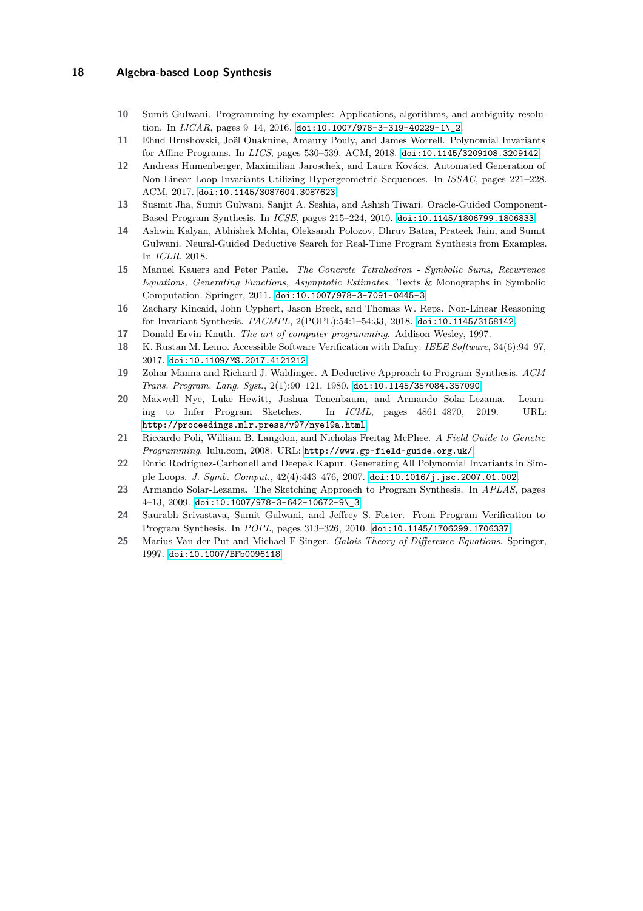- <span id="page-17-15"></span><span id="page-17-1"></span>**10** Sumit Gulwani. Programming by examples: Applications, algorithms, and ambiguity resolution. In *IJCAR*, pages 9-14, 2016. doi:10.1007/978-3-319-40229-1\ 2.
- <span id="page-17-5"></span>**11** Ehud Hrushovski, Joël Ouaknine, Amaury Pouly, and James Worrell. Polynomial Invariants for Affine Programs. In *LICS*, pages 530–539. ACM, 2018. [doi:10.1145/3209108.3209142](https://doi.org/10.1145/3209108.3209142).
- **12** Andreas Humenberger, Maximilian Jaroschek, and Laura Kovács. Automated Generation of Non-Linear Loop Invariants Utilizing Hypergeometric Sequences. In *ISSAC*, pages 221–228. ACM, 2017. [doi:10.1145/3087604.3087623](https://doi.org/10.1145/3087604.3087623).
- <span id="page-17-13"></span><span id="page-17-2"></span>**13** Susmit Jha, Sumit Gulwani, Sanjit A. Seshia, and Ashish Tiwari. Oracle-Guided Component-Based Program Synthesis. In *ICSE*, pages 215–224, 2010. [doi:10.1145/1806799.1806833](https://doi.org/10.1145/1806799.1806833).
- **14** Ashwin Kalyan, Abhishek Mohta, Oleksandr Polozov, Dhruv Batra, Prateek Jain, and Sumit Gulwani. Neural-Guided Deductive Search for Real-Time Program Synthesis from Examples. In *ICLR*, 2018.
- <span id="page-17-8"></span>**15** Manuel Kauers and Peter Paule. *The Concrete Tetrahedron - Symbolic Sums, Recurrence Equations, Generating Functions, Asymptotic Estimates*. Texts & Monographs in Symbolic Computation. Springer, 2011. [doi:10.1007/978-3-7091-0445-3](https://doi.org/10.1007/978-3-7091-0445-3).
- <span id="page-17-10"></span><span id="page-17-6"></span>**16** Zachary Kincaid, John Cyphert, Jason Breck, and Thomas W. Reps. Non-Linear Reasoning for Invariant Synthesis. *PACMPL*, 2(POPL):54:1–54:33, 2018. [doi:10.1145/3158142](https://doi.org/10.1145/3158142).
- <span id="page-17-7"></span>**17** Donald Ervin Knuth. *The art of computer programming*. Addison-Wesley, 1997.
- <span id="page-17-0"></span>**18** K. Rustan M. Leino. Accessible Software Verification with Dafny. *IEEE Software*, 34(6):94–97, 2017. [doi:10.1109/MS.2017.4121212](https://doi.org/10.1109/MS.2017.4121212).
- <span id="page-17-3"></span>**19** Zohar Manna and Richard J. Waldinger. A Deductive Approach to Program Synthesis. *ACM Trans. Program. Lang. Syst.*, 2(1):90–121, 1980. [doi:10.1145/357084.357090](https://doi.org/10.1145/357084.357090).
- **20** Maxwell Nye, Luke Hewitt, Joshua Tenenbaum, and Armando Solar-Lezama. Learning to Infer Program Sketches. In *ICML*, pages 4861–4870, 2019. URL: <http://proceedings.mlr.press/v97/nye19a.html>.
- <span id="page-17-14"></span>**21** Riccardo Poli, William B. Langdon, and Nicholas Freitag McPhee. *A Field Guide to Genetic Programming*. lulu.com, 2008. URL: <http://www.gp-field-guide.org.uk/>.
- <span id="page-17-4"></span>**22** Enric Rodríguez-Carbonell and Deepak Kapur. Generating All Polynomial Invariants in Simple Loops. *J. Symb. Comput.*, 42(4):443–476, 2007. [doi:10.1016/j.jsc.2007.01.002](https://doi.org/10.1016/j.jsc.2007.01.002).
- <span id="page-17-12"></span>**23** Armando Solar-Lezama. The Sketching Approach to Program Synthesis. In *APLAS*, pages  $4-13, 2009.$  [doi:10.1007/978-3-642-10672-9\\\_3](https://doi.org/10.1007/978-3-642-10672-9_3).
- <span id="page-17-11"></span>**24** Saurabh Srivastava, Sumit Gulwani, and Jeffrey S. Foster. From Program Verification to Program Synthesis. In *POPL*, pages 313–326, 2010. [doi:10.1145/1706299.1706337](https://doi.org/10.1145/1706299.1706337).
- <span id="page-17-9"></span>**25** Marius Van der Put and Michael F Singer. *Galois Theory of Difference Equations*. Springer, 1997. [doi:10.1007/BFb0096118](https://doi.org/10.1007/BFb0096118).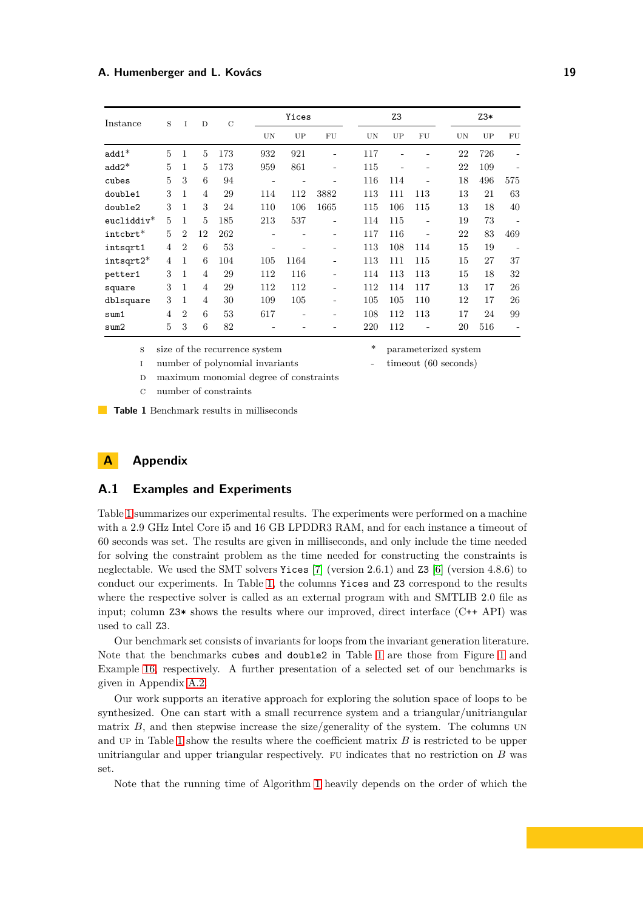<span id="page-18-0"></span>

| Instance     | S              | $\mathbf{I}$                | D              | $\mathcal{C}$ |     | Yices |                          | Z <sub>3</sub> |     |     |    | $Z3*$ |                   |  |
|--------------|----------------|-----------------------------|----------------|---------------|-----|-------|--------------------------|----------------|-----|-----|----|-------|-------------------|--|
|              |                |                             |                |               | UN  | UP    | FU                       | UN             | UP  | FU  | UN | UP    | FU                |  |
| $add1*$      | 5              | 1                           | 5              | 173           | 932 | 921   | -                        | 117            |     |     | 22 | 726   | -                 |  |
| $add2*$      | 5              | 1                           | 5              | 173           | 959 | 861   | $\overline{\phantom{a}}$ | 115            |     | ۰   | 22 | 109   |                   |  |
| cubes        | 5              | 3                           | 6              | 94            | -   |       |                          | 116            | 114 | ۰   | 18 | 496   | 575               |  |
| double1      | 3              | 1                           | $\overline{4}$ | 29            | 114 | 112   | 3882                     | 113            | 111 | 113 | 13 | 21    | 63                |  |
| double2      | 3              | 1                           | 3              | 24            | 110 | 106   | 1665                     | 115            | 106 | 115 | 13 | 18    | 40                |  |
| $eucliddiv*$ | $\overline{5}$ | 1                           | 5              | 185           | 213 | 537   | $\overline{\phantom{a}}$ | 114            | 115 | ۰   | 19 | 73    | $\qquad \qquad -$ |  |
| intcbrt*     | 5              | $\mathcal{D}_{\mathcal{L}}$ | 12             | 262           | -   |       | $\overline{\phantom{a}}$ | 117            | 116 | ٠   | 22 | 83    | 469               |  |
| intsqrt1     | 4              | $\overline{2}$              | 6              | 53            | -   |       | -                        | 113            | 108 | 114 | 15 | 19    | $\qquad \qquad -$ |  |
| $intsqrt2*$  | $\overline{4}$ | 1                           | 6              | 104           | 105 | 1164  | $\overline{\phantom{a}}$ | 113            | 111 | 115 | 15 | 27    | 37                |  |
| petter1      | 3              | $\mathbf{1}$                | $\overline{4}$ | 29            | 112 | 116   | -                        | 114            | 113 | 113 | 15 | 18    | 32                |  |
| square       | 3              | 1                           | $\overline{4}$ | 29            | 112 | 112   | -                        | 112            | 114 | 117 | 13 | 17    | 26                |  |
| dblsquare    | 3              | 1                           | $\overline{4}$ | 30            | 109 | 105   | ۰                        | 105            | 105 | 110 | 12 | 17    | 26                |  |
| sum1         | $\overline{4}$ | $\mathcal{D}_{\mathcal{L}}$ | 6              | 53            | 617 |       |                          | 108            | 112 | 113 | 17 | 24    | 99                |  |
| sum2         | 5              | 3                           | 6              | 82            |     |       |                          | 220            | 112 |     | 20 | 516   | $\qquad \qquad -$ |  |

s size of the recurrence system  $*$  parameterized system

i number of polynomial invariants - timeout (60 seconds) D maximum monomial degree of constraints

c number of constraints

**Table 1** Benchmark results in milliseconds

# <span id="page-18-1"></span>**A Appendix**

# **A.1 Examples and Experiments**

Table [1](#page-18-0) summarizes our experimental results. The experiments were performed on a machine with a 2.9 GHz Intel Core i5 and 16 GB LPDDR3 RAM, and for each instance a timeout of 60 seconds was set. The results are given in milliseconds, and only include the time needed for solving the constraint problem as the time needed for constructing the constraints is neglectable. We used the SMT solvers Yices  $[7]$  (version 2.6.1) and Z3  $[6]$  (version 4.8.6) to conduct our experiments. In Table [1,](#page-18-0) the columns Yices and Z3 correspond to the results where the respective solver is called as an external program with and SMTLIB 2.0 file as input; column Z3\* shows the results where our improved, direct interface (C++ API) was used to call Z3.

Our benchmark set consists of invariants for loops from the invariant generation literature. Note that the benchmarks cubes and double2 in Table [1](#page-18-0) are those from Figure [1](#page-1-0) and Example [16,](#page-10-4) respectively. A further presentation of a selected set of our benchmarks is given in Appendix [A.2.](#page-19-0)

Our work supports an iterative approach for exploring the solution space of loops to be synthesized. One can start with a small recurrence system and a triangular/unitriangular matrix  $B$ , and then stepwise increase the size/generality of the system. The columns UN and up in Table [1](#page-18-0) show the results where the coefficient matrix *B* is restricted to be upper unitriangular and upper triangular respectively. fu indicates that no restriction on *B* was set.

Note that the running time of Algorithm [1](#page-10-1) heavily depends on the order of which the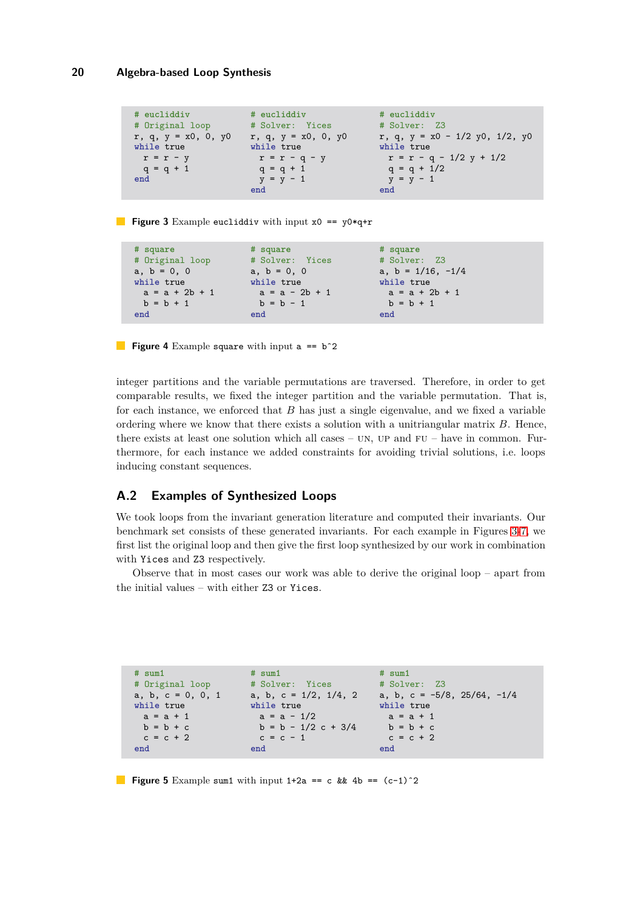```
# eucliddiv
# Original loop
r, q, y = x0, 0, y0
while true
 r = r - yq = q + 1end
                      # eucliddiv
                      # Solver: Yices
                      r, q, y = x0, 0, y0
                      while true
                       r = r - q - yq = q + 1y = y - 1end
                                               # eucliddiv
                                               # Solver: Z3
                                               r, q, y = x0 - 1/2 y0, 1/2, y0
                                              while true
                                                 r = r - q - 1/2 y + 1/2
                                                 q = q + 1/2
                                                y = y - 1end
```
**Figure 3** Example eucliddiv with input x0 == y0\*q+r

```
# square
# Original loop
a, b = 0, 0while true
 a = a + 2b + 1b = b + 1end
                     # square
                    # Solver: Yices
                    a, b = 0, 0while true
                    a = a - 2b + 1b = b - 1end
                                            # square
                                           # Solver: Z3
                                           a, b = 1/16, -1/4
                                           while true
                                            a = a + 2b + 1b = b + 1end
```
**Figure 4** Example square with input a == b<sup> $\degree$ </sup>2

integer partitions and the variable permutations are traversed. Therefore, in order to get comparable results, we fixed the integer partition and the variable permutation. That is, for each instance, we enforced that *B* has just a single eigenvalue, and we fixed a variable ordering where we know that there exists a solution with a unitriangular matrix *B*. Hence, there exists at least one solution which all cases –  $UN$ ,  $UP$  and  $FU$  – have in common. Furthermore, for each instance we added constraints for avoiding trivial solutions, i.e. loops inducing constant sequences.

# <span id="page-19-0"></span>**A.2 Examples of Synthesized Loops**

We took loops from the invariant generation literature and computed their invariants. Our benchmark set consists of these generated invariants. For each example in Figures [3-](#page-19-1)[7,](#page-20-0) we first list the original loop and then give the first loop synthesized by our work in combination with Yices and Z3 respectively.

Observe that in most cases our work was able to derive the original loop – apart from the initial values – with either Z3 or Yices.

```
# sum1
# Original loop
a, b, c = 0, 0, 1
while true
 a = a + 1b = b + cc = c + 2end
                     # sum1
                      # Solver: Yices
                      a, b, c = 1/2, 1/4, 2
                    while true
                       a = a - 1/2
                       b = b - 1/2 c + 3/4c = c - 1end
                                             # sum1
                                              # Solver: Z3
                     a, b, c = 1/2, 1/4, 2 a, b, c = -5/8, 25/64, -1/4while true
                                              a = a + 1b = b + cc = c + 2end
```
**Figure 5** Example sum1 with input  $1+2a == c$  &  $4b == (c-1)^2$